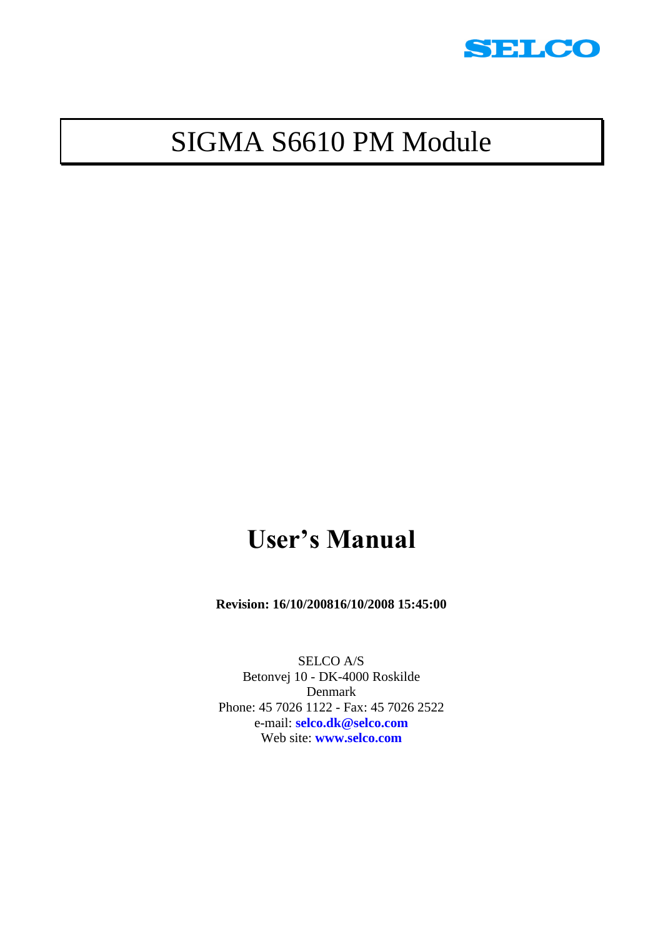

# SIGMA S6610 PM Module

# **User's Manual**

**Revision: 16/10/200816/10/2008 15:45:00**

SELCO A/S Betonvej 10 - DK-4000 Roskilde Denmark Phone: 45 7026 1122 - Fax: 45 7026 2522 e-mail: **[selco.dk@selco.com](mailto:selco.dk@selco.com)** Web site: **[www.selco.com](http://www.selco.com/)**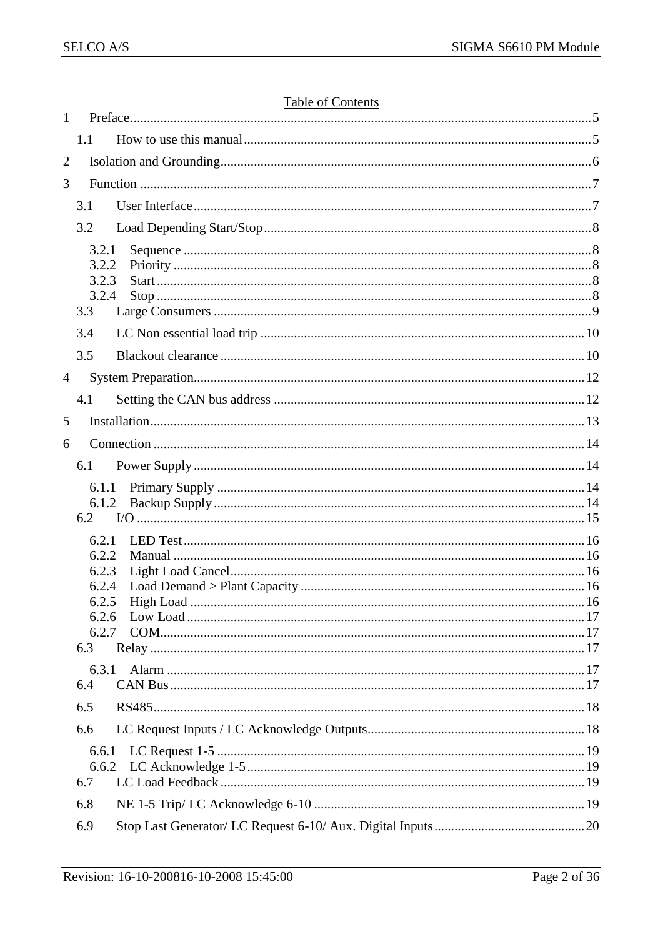| $\mathbf{1}$   |                | <u>Lavie VI Contents</u> |  |
|----------------|----------------|--------------------------|--|
|                | 1.1            |                          |  |
| $\overline{2}$ |                |                          |  |
| 3              |                |                          |  |
|                | 3.1            |                          |  |
|                | 3.2            |                          |  |
|                | 3.2.1          |                          |  |
|                | 3.2.2          |                          |  |
|                | 3.2.3<br>3.2.4 |                          |  |
|                | 3.3            |                          |  |
|                | 3.4            |                          |  |
|                | 3.5            |                          |  |
| $\overline{4}$ |                |                          |  |
|                | 4.1            |                          |  |
| 5              |                |                          |  |
| 6              |                |                          |  |
|                | 6.1            |                          |  |
|                | 6.1.1          |                          |  |
|                | 6.1.2          |                          |  |
|                | 6.2            |                          |  |
|                | 6.2.1          |                          |  |
|                | 6.2.2<br>6.2.3 |                          |  |
|                | 6.2.4          |                          |  |
|                | 6.2.5          |                          |  |
|                | 6.2.6<br>6.2.7 |                          |  |
|                | 6.3            |                          |  |
|                | 6.3.1          |                          |  |
|                | 6.4            |                          |  |
|                | 6.5            |                          |  |
|                | 6.6            |                          |  |
|                | 6.6.1          |                          |  |
|                |                |                          |  |
|                | 6.7            |                          |  |
|                | 6.8            |                          |  |
|                | 6.9            |                          |  |

#### Table of Contents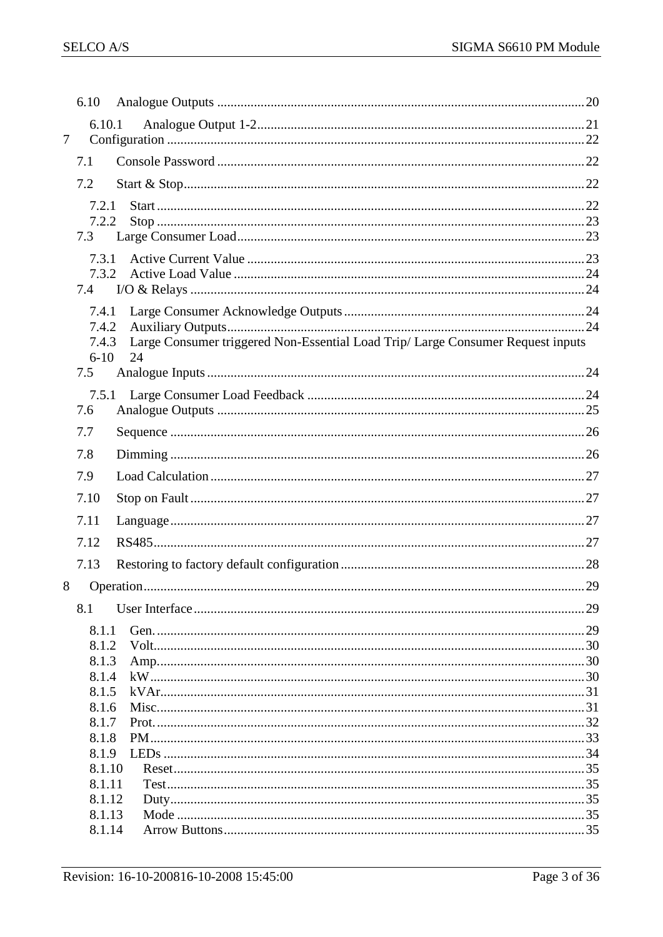|        | 6.10              |                                                                                       |  |
|--------|-------------------|---------------------------------------------------------------------------------------|--|
|        | 6.10.1            |                                                                                       |  |
| $\tau$ |                   |                                                                                       |  |
|        | 7.1               |                                                                                       |  |
|        | 7.2               |                                                                                       |  |
|        | 7.2.1             |                                                                                       |  |
|        | 7.2.2             |                                                                                       |  |
|        | 7.3               |                                                                                       |  |
|        | 7.3.1             |                                                                                       |  |
|        | 7.3.2             |                                                                                       |  |
|        | 7.4               |                                                                                       |  |
|        | 7.4.1             |                                                                                       |  |
|        | 7.4.2             |                                                                                       |  |
|        | 7.4.3<br>$6 - 10$ | Large Consumer triggered Non-Essential Load Trip/ Large Consumer Request inputs<br>24 |  |
|        | 7.5               |                                                                                       |  |
|        | 7.5.1             |                                                                                       |  |
|        | 7.6               |                                                                                       |  |
|        | 7.7               |                                                                                       |  |
|        | 7.8               |                                                                                       |  |
|        | 7.9               |                                                                                       |  |
|        | 7.10              |                                                                                       |  |
|        | 7.11              |                                                                                       |  |
|        | 7.12              |                                                                                       |  |
|        | 7.13              |                                                                                       |  |
| 8      |                   |                                                                                       |  |
|        | 8.1               |                                                                                       |  |
|        | 8.1.1             |                                                                                       |  |
|        | 8.1.2             |                                                                                       |  |
|        | 8.1.3             |                                                                                       |  |
|        | 8.1.4             |                                                                                       |  |
|        | 8.1.5             |                                                                                       |  |
|        | 8.1.6<br>8.1.7    |                                                                                       |  |
|        | 8.1.8             |                                                                                       |  |
|        | 8.1.9             |                                                                                       |  |
|        | 8.1.10            |                                                                                       |  |
|        | 8.1.11            |                                                                                       |  |
|        | 8.1.12            |                                                                                       |  |
|        | 8.1.13            |                                                                                       |  |
|        | 8.1.14            |                                                                                       |  |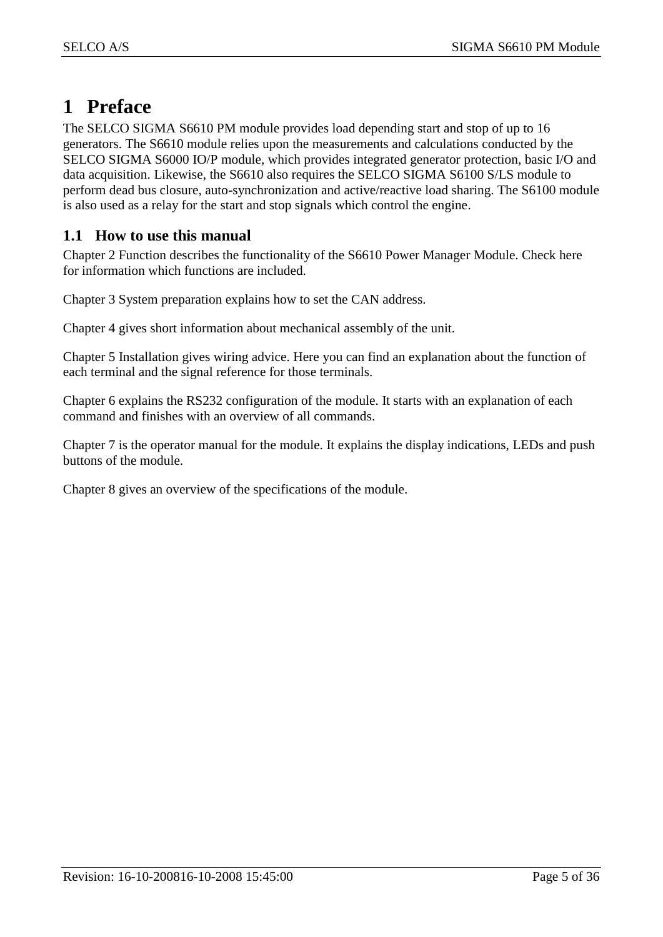### <span id="page-4-0"></span>**1 Preface**

The SELCO SIGMA S6610 PM module provides load depending start and stop of up to 16 generators. The S6610 module relies upon the measurements and calculations conducted by the SELCO SIGMA S6000 IO/P module, which provides integrated generator protection, basic I/O and data acquisition. Likewise, the S6610 also requires the SELCO SIGMA S6100 S/LS module to perform dead bus closure, auto-synchronization and active/reactive load sharing. The S6100 module is also used as a relay for the start and stop signals which control the engine.

#### <span id="page-4-1"></span>**1.1 How to use this manual**

Chapter 2 Function describes the functionality of the S6610 Power Manager Module. Check here for information which functions are included.

Chapter 3 System preparation explains how to set the CAN address.

Chapter 4 gives short information about mechanical assembly of the unit.

Chapter 5 Installation gives wiring advice. Here you can find an explanation about the function of each terminal and the signal reference for those terminals.

Chapter 6 explains the RS232 configuration of the module. It starts with an explanation of each command and finishes with an overview of all commands.

Chapter 7 is the operator manual for the module. It explains the display indications, LEDs and push buttons of the module.

Chapter 8 gives an overview of the specifications of the module.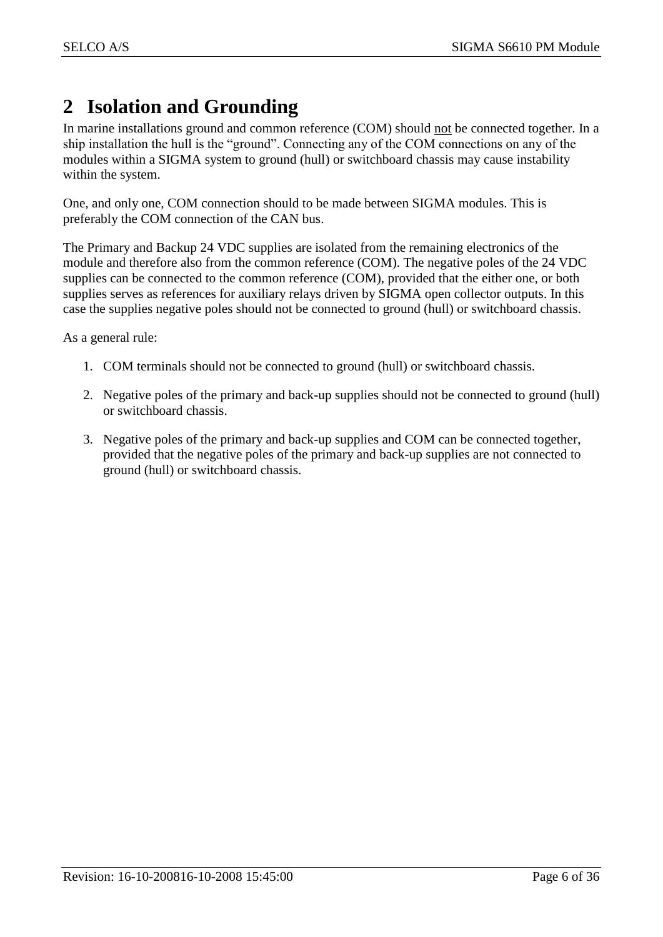### <span id="page-5-0"></span>**2 Isolation and Grounding**

In marine installations ground and common reference (COM) should not be connected together. In a ship installation the hull is the "ground". Connecting any of the COM connections on any of the modules within a SIGMA system to ground (hull) or switchboard chassis may cause instability within the system.

One, and only one, COM connection should to be made between SIGMA modules. This is preferably the COM connection of the CAN bus.

The Primary and Backup 24 VDC supplies are isolated from the remaining electronics of the module and therefore also from the common reference (COM). The negative poles of the 24 VDC supplies can be connected to the common reference (COM), provided that the either one, or both supplies serves as references for auxiliary relays driven by SIGMA open collector outputs. In this case the supplies negative poles should not be connected to ground (hull) or switchboard chassis.

As a general rule:

- 1. COM terminals should not be connected to ground (hull) or switchboard chassis.
- 2. Negative poles of the primary and back-up supplies should not be connected to ground (hull) or switchboard chassis.
- 3. Negative poles of the primary and back-up supplies and COM can be connected together, provided that the negative poles of the primary and back-up supplies are not connected to ground (hull) or switchboard chassis.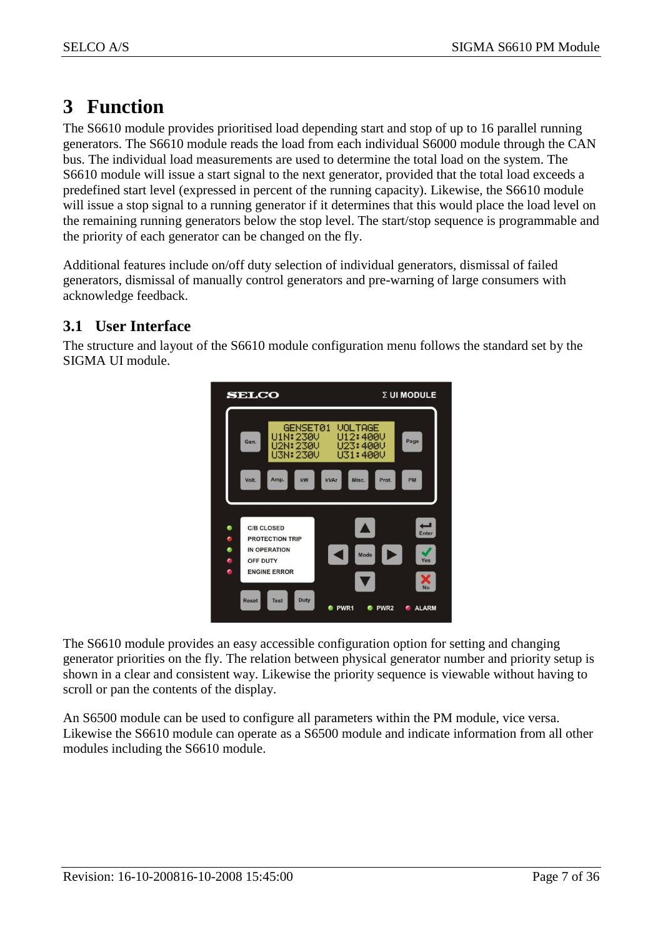### <span id="page-6-0"></span>**3 Function**

The S6610 module provides prioritised load depending start and stop of up to 16 parallel running generators. The S6610 module reads the load from each individual S6000 module through the CAN bus. The individual load measurements are used to determine the total load on the system. The S6610 module will issue a start signal to the next generator, provided that the total load exceeds a predefined start level (expressed in percent of the running capacity). Likewise, the S6610 module will issue a stop signal to a running generator if it determines that this would place the load level on the remaining running generators below the stop level. The start/stop sequence is programmable and the priority of each generator can be changed on the fly.

Additional features include on/off duty selection of individual generators, dismissal of failed generators, dismissal of manually control generators and pre-warning of large consumers with acknowledge feedback.

#### <span id="page-6-1"></span>**3.1 User Interface**

The structure and layout of the S6610 module configuration menu follows the standard set by the SIGMA UI module.



The S6610 module provides an easy accessible configuration option for setting and changing generator priorities on the fly. The relation between physical generator number and priority setup is shown in a clear and consistent way. Likewise the priority sequence is viewable without having to scroll or pan the contents of the display.

An S6500 module can be used to configure all parameters within the PM module, vice versa. Likewise the S6610 module can operate as a S6500 module and indicate information from all other modules including the S6610 module.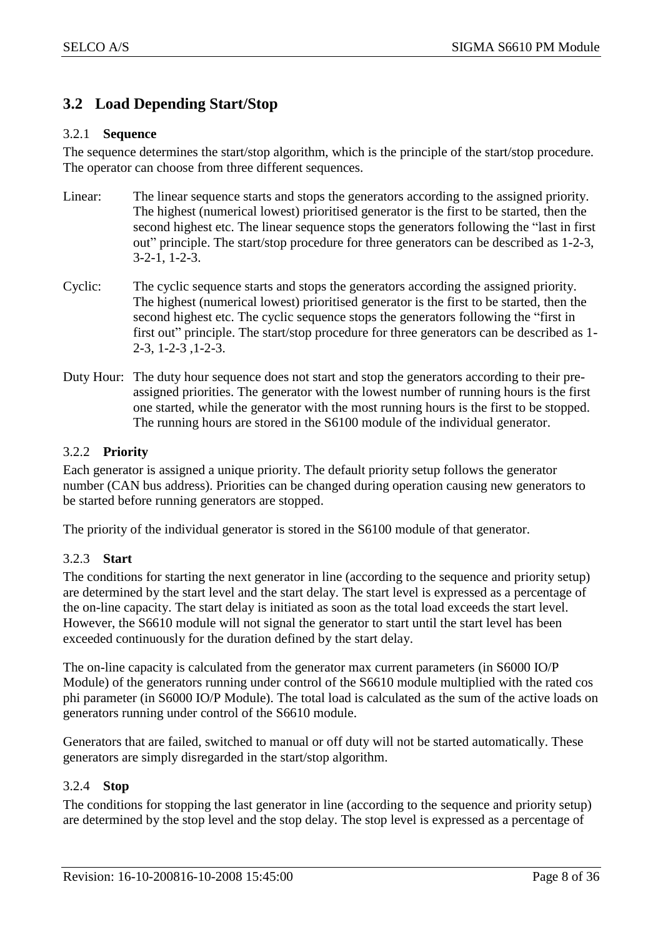#### <span id="page-7-0"></span>**3.2 Load Depending Start/Stop**

#### <span id="page-7-1"></span>3.2.1 **Sequence**

The sequence determines the start/stop algorithm, which is the principle of the start/stop procedure. The operator can choose from three different sequences.

- Linear: The linear sequence starts and stops the generators according to the assigned priority. The highest (numerical lowest) prioritised generator is the first to be started, then the second highest etc. The linear sequence stops the generators following the "last in first out" principle. The start/stop procedure for three generators can be described as 1-2-3, 3-2-1, 1-2-3.
- Cyclic: The cyclic sequence starts and stops the generators according the assigned priority. The highest (numerical lowest) prioritised generator is the first to be started, then the second highest etc. The cyclic sequence stops the generators following the "first in first out" principle. The start/stop procedure for three generators can be described as 1-2-3, 1-2-3 ,1-2-3.
- Duty Hour: The duty hour sequence does not start and stop the generators according to their preassigned priorities. The generator with the lowest number of running hours is the first one started, while the generator with the most running hours is the first to be stopped. The running hours are stored in the S6100 module of the individual generator.

#### <span id="page-7-2"></span>3.2.2 **Priority**

Each generator is assigned a unique priority. The default priority setup follows the generator number (CAN bus address). Priorities can be changed during operation causing new generators to be started before running generators are stopped.

The priority of the individual generator is stored in the S6100 module of that generator.

#### <span id="page-7-3"></span>3.2.3 **Start**

The conditions for starting the next generator in line (according to the sequence and priority setup) are determined by the start level and the start delay. The start level is expressed as a percentage of the on-line capacity. The start delay is initiated as soon as the total load exceeds the start level. However, the S6610 module will not signal the generator to start until the start level has been exceeded continuously for the duration defined by the start delay.

The on-line capacity is calculated from the generator max current parameters (in S6000 IO/P Module) of the generators running under control of the S6610 module multiplied with the rated cos phi parameter (in S6000 IO/P Module). The total load is calculated as the sum of the active loads on generators running under control of the S6610 module.

Generators that are failed, switched to manual or off duty will not be started automatically. These generators are simply disregarded in the start/stop algorithm.

#### <span id="page-7-4"></span>3.2.4 **Stop**

The conditions for stopping the last generator in line (according to the sequence and priority setup) are determined by the stop level and the stop delay. The stop level is expressed as a percentage of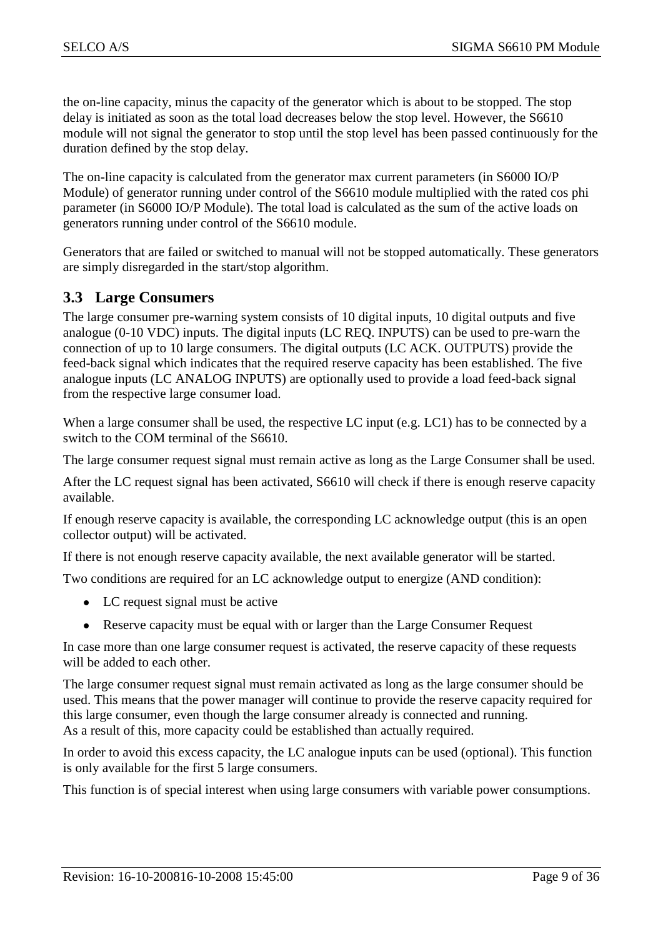the on-line capacity, minus the capacity of the generator which is about to be stopped. The stop delay is initiated as soon as the total load decreases below the stop level. However, the S6610 module will not signal the generator to stop until the stop level has been passed continuously for the duration defined by the stop delay.

The on-line capacity is calculated from the generator max current parameters (in S6000 IO/P Module) of generator running under control of the S6610 module multiplied with the rated cos phi parameter (in S6000 IO/P Module). The total load is calculated as the sum of the active loads on generators running under control of the S6610 module.

Generators that are failed or switched to manual will not be stopped automatically. These generators are simply disregarded in the start/stop algorithm.

#### <span id="page-8-0"></span>**3.3 Large Consumers**

The large consumer pre-warning system consists of 10 digital inputs, 10 digital outputs and five analogue (0-10 VDC) inputs. The digital inputs (LC REQ. INPUTS) can be used to pre-warn the connection of up to 10 large consumers. The digital outputs (LC ACK. OUTPUTS) provide the feed-back signal which indicates that the required reserve capacity has been established. The five analogue inputs (LC ANALOG INPUTS) are optionally used to provide a load feed-back signal from the respective large consumer load.

When a large consumer shall be used, the respective LC input (e.g. LC1) has to be connected by a switch to the COM terminal of the S6610.

The large consumer request signal must remain active as long as the Large Consumer shall be used.

After the LC request signal has been activated, S6610 will check if there is enough reserve capacity available.

If enough reserve capacity is available, the corresponding LC acknowledge output (this is an open collector output) will be activated.

If there is not enough reserve capacity available, the next available generator will be started.

Two conditions are required for an LC acknowledge output to energize (AND condition):

- LC request signal must be active
- Reserve capacity must be equal with or larger than the Large Consumer Request

In case more than one large consumer request is activated, the reserve capacity of these requests will be added to each other.

The large consumer request signal must remain activated as long as the large consumer should be used. This means that the power manager will continue to provide the reserve capacity required for this large consumer, even though the large consumer already is connected and running. As a result of this, more capacity could be established than actually required.

In order to avoid this excess capacity, the LC analogue inputs can be used (optional). This function is only available for the first 5 large consumers.

This function is of special interest when using large consumers with variable power consumptions.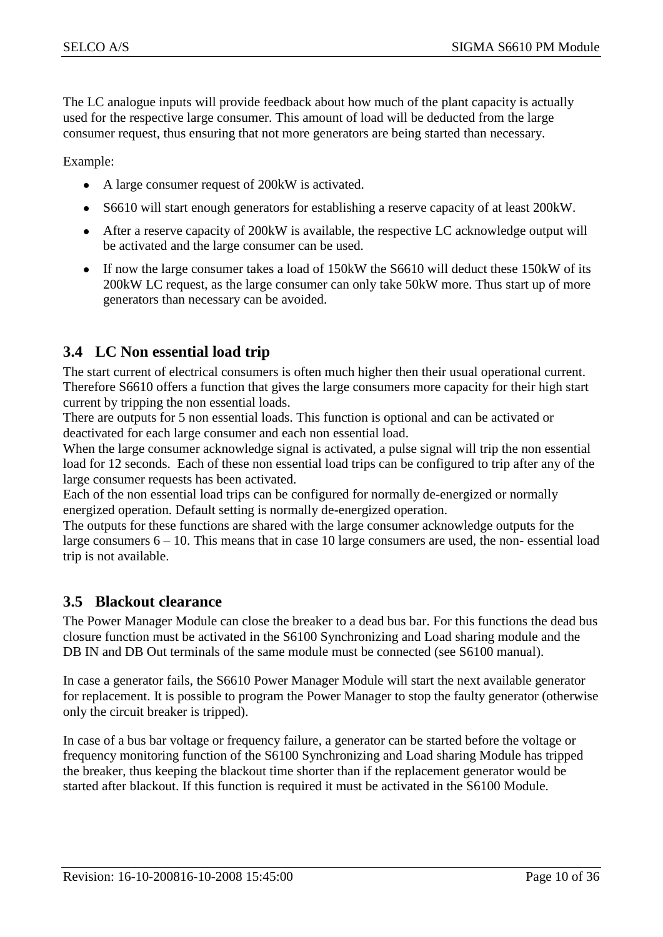The LC analogue inputs will provide feedback about how much of the plant capacity is actually used for the respective large consumer. This amount of load will be deducted from the large consumer request, thus ensuring that not more generators are being started than necessary.

Example:

- A large consumer request of 200kW is activated.  $\bullet$
- S6610 will start enough generators for establishing a reserve capacity of at least 200kW.  $\bullet$
- After a reserve capacity of 200kW is available, the respective LC acknowledge output will  $\bullet$ be activated and the large consumer can be used.
- If now the large consumer takes a load of 150kW the S6610 will deduct these 150kW of its  $\bullet$ 200kW LC request, as the large consumer can only take 50kW more. Thus start up of more generators than necessary can be avoided.

#### <span id="page-9-0"></span>**3.4 LC Non essential load trip**

The start current of electrical consumers is often much higher then their usual operational current. Therefore S6610 offers a function that gives the large consumers more capacity for their high start current by tripping the non essential loads.

There are outputs for 5 non essential loads. This function is optional and can be activated or deactivated for each large consumer and each non essential load.

When the large consumer acknowledge signal is activated, a pulse signal will trip the non essential load for 12 seconds. Each of these non essential load trips can be configured to trip after any of the large consumer requests has been activated.

Each of the non essential load trips can be configured for normally de-energized or normally energized operation. Default setting is normally de-energized operation.

The outputs for these functions are shared with the large consumer acknowledge outputs for the large consumers 6 – 10. This means that in case 10 large consumers are used, the non- essential load trip is not available.

#### <span id="page-9-1"></span>**3.5 Blackout clearance**

The Power Manager Module can close the breaker to a dead bus bar. For this functions the dead bus closure function must be activated in the S6100 Synchronizing and Load sharing module and the DB IN and DB Out terminals of the same module must be connected (see S6100 manual).

In case a generator fails, the S6610 Power Manager Module will start the next available generator for replacement. It is possible to program the Power Manager to stop the faulty generator (otherwise only the circuit breaker is tripped).

In case of a bus bar voltage or frequency failure, a generator can be started before the voltage or frequency monitoring function of the S6100 Synchronizing and Load sharing Module has tripped the breaker, thus keeping the blackout time shorter than if the replacement generator would be started after blackout. If this function is required it must be activated in the S6100 Module.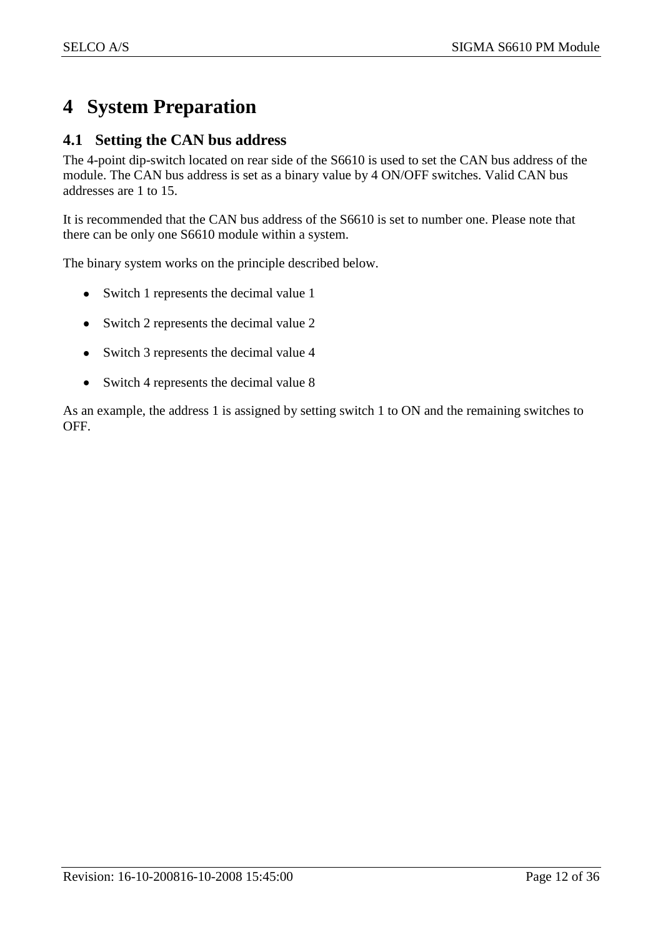### <span id="page-11-0"></span>**4 System Preparation**

#### <span id="page-11-1"></span>**4.1 Setting the CAN bus address**

The 4-point dip-switch located on rear side of the S6610 is used to set the CAN bus address of the module. The CAN bus address is set as a binary value by 4 ON/OFF switches. Valid CAN bus addresses are 1 to 15.

It is recommended that the CAN bus address of the S6610 is set to number one. Please note that there can be only one S6610 module within a system.

The binary system works on the principle described below.

- Switch 1 represents the decimal value 1
- Switch 2 represents the decimal value 2
- Switch 3 represents the decimal value 4
- Switch 4 represents the decimal value 8  $\bullet$

As an example, the address 1 is assigned by setting switch 1 to ON and the remaining switches to OFF.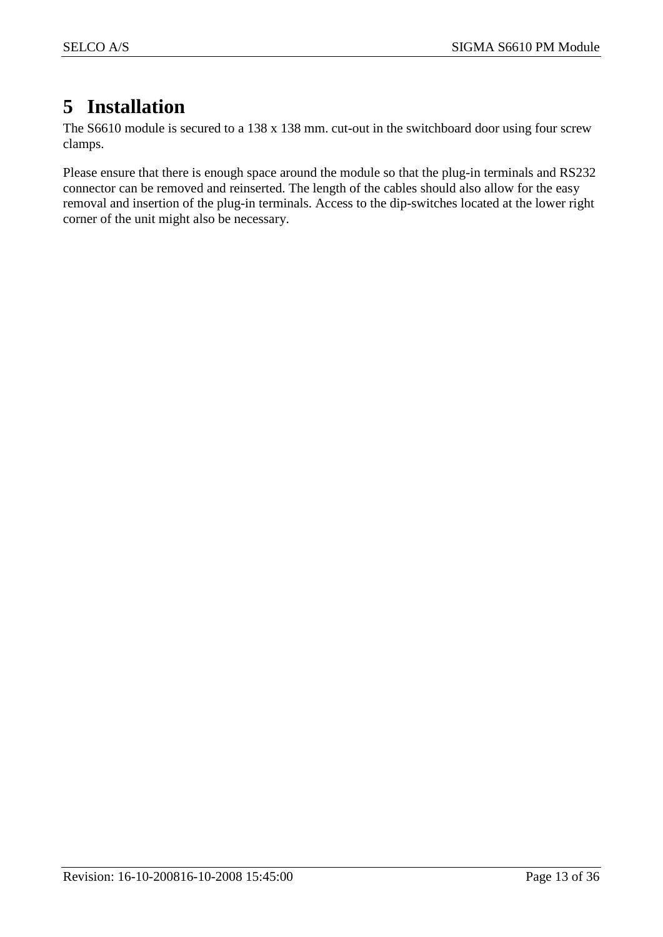### <span id="page-12-0"></span>**5 Installation**

The S6610 module is secured to a 138 x 138 mm. cut-out in the switchboard door using four screw clamps.

Please ensure that there is enough space around the module so that the plug-in terminals and RS232 connector can be removed and reinserted. The length of the cables should also allow for the easy removal and insertion of the plug-in terminals. Access to the dip-switches located at the lower right corner of the unit might also be necessary.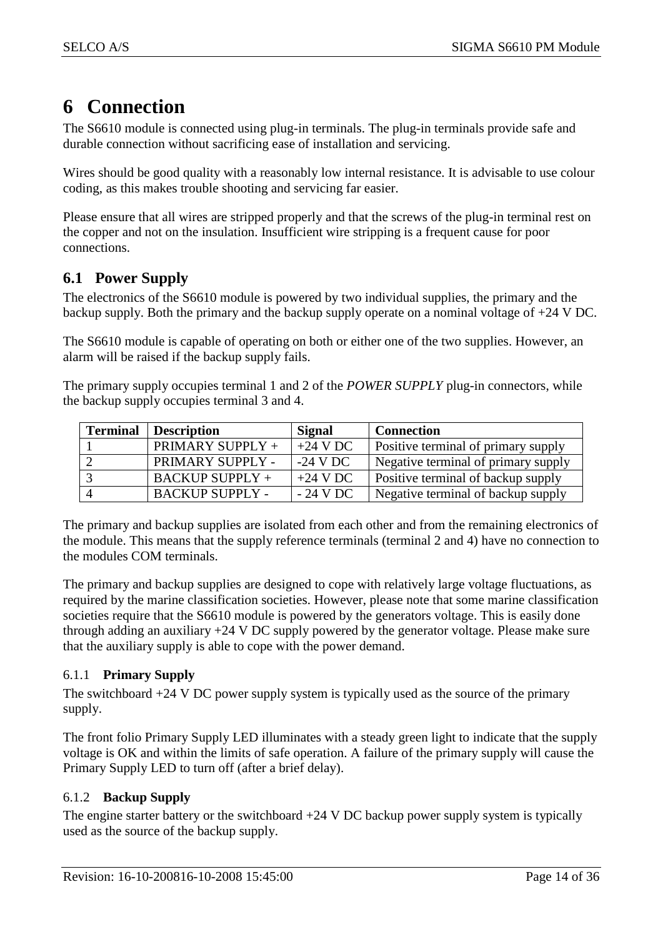### <span id="page-13-0"></span>**6 Connection**

The S6610 module is connected using plug-in terminals. The plug-in terminals provide safe and durable connection without sacrificing ease of installation and servicing.

Wires should be good quality with a reasonably low internal resistance. It is advisable to use colour coding, as this makes trouble shooting and servicing far easier.

Please ensure that all wires are stripped properly and that the screws of the plug-in terminal rest on the copper and not on the insulation. Insufficient wire stripping is a frequent cause for poor connections.

#### <span id="page-13-1"></span>**6.1 Power Supply**

The electronics of the S6610 module is powered by two individual supplies, the primary and the backup supply. Both the primary and the backup supply operate on a nominal voltage of +24 V DC.

The S6610 module is capable of operating on both or either one of the two supplies. However, an alarm will be raised if the backup supply fails.

The primary supply occupies terminal 1 and 2 of the *POWER SUPPLY* plug-in connectors, while the backup supply occupies terminal 3 and 4.

| <b>Terminal</b> | <b>Description</b>     | Signal     | <b>Connection</b>                          |
|-----------------|------------------------|------------|--------------------------------------------|
|                 | PRIMARY SUPPLY +       | $+24$ V DC | <b>Positive terminal of primary supply</b> |
|                 | PRIMARY SUPPLY -       | $-24$ V DC | Negative terminal of primary supply        |
|                 | $BACKUP$ SUPPLY +      | $+24$ V DC | <b>Positive terminal of backup supply</b>  |
|                 | <b>BACKUP SUPPLY -</b> | $-24$ V DC | Negative terminal of backup supply         |

The primary and backup supplies are isolated from each other and from the remaining electronics of the module. This means that the supply reference terminals (terminal 2 and 4) have no connection to the modules COM terminals.

The primary and backup supplies are designed to cope with relatively large voltage fluctuations, as required by the marine classification societies. However, please note that some marine classification societies require that the S6610 module is powered by the generators voltage. This is easily done through adding an auxiliary +24 V DC supply powered by the generator voltage. Please make sure that the auxiliary supply is able to cope with the power demand.

#### <span id="page-13-2"></span>6.1.1 **Primary Supply**

The switchboard +24 V DC power supply system is typically used as the source of the primary supply.

The front folio Primary Supply LED illuminates with a steady green light to indicate that the supply voltage is OK and within the limits of safe operation. A failure of the primary supply will cause the Primary Supply LED to turn off (after a brief delay).

#### <span id="page-13-3"></span>6.1.2 **Backup Supply**

The engine starter battery or the switchboard  $+24$  V DC backup power supply system is typically used as the source of the backup supply.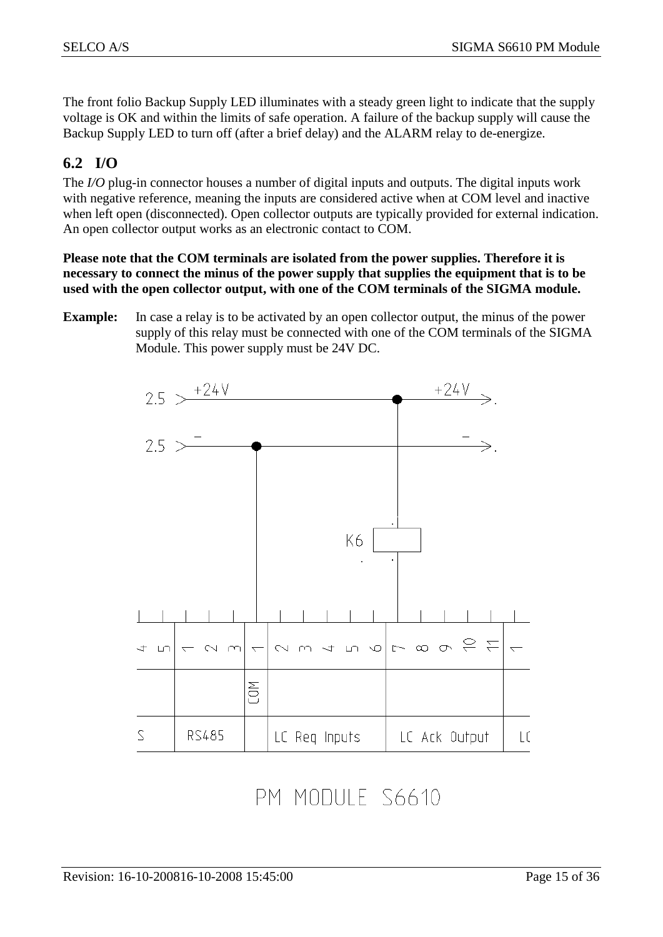The front folio Backup Supply LED illuminates with a steady green light to indicate that the supply voltage is OK and within the limits of safe operation. A failure of the backup supply will cause the Backup Supply LED to turn off (after a brief delay) and the ALARM relay to de-energize.

### <span id="page-14-0"></span>**6.2 I/O**

The *I/O* plug-in connector houses a number of digital inputs and outputs. The digital inputs work with negative reference, meaning the inputs are considered active when at COM level and inactive when left open (disconnected). Open collector outputs are typically provided for external indication. An open collector output works as an electronic contact to COM.

**Please note that the COM terminals are isolated from the power supplies. Therefore it is necessary to connect the minus of the power supply that supplies the equipment that is to be used with the open collector output, with one of the COM terminals of the SIGMA module.**

**Example:** In case a relay is to be activated by an open collector output, the minus of the power supply of this relay must be connected with one of the COM terminals of the SIGMA Module. This power supply must be 24V DC.



PM MODULE S6610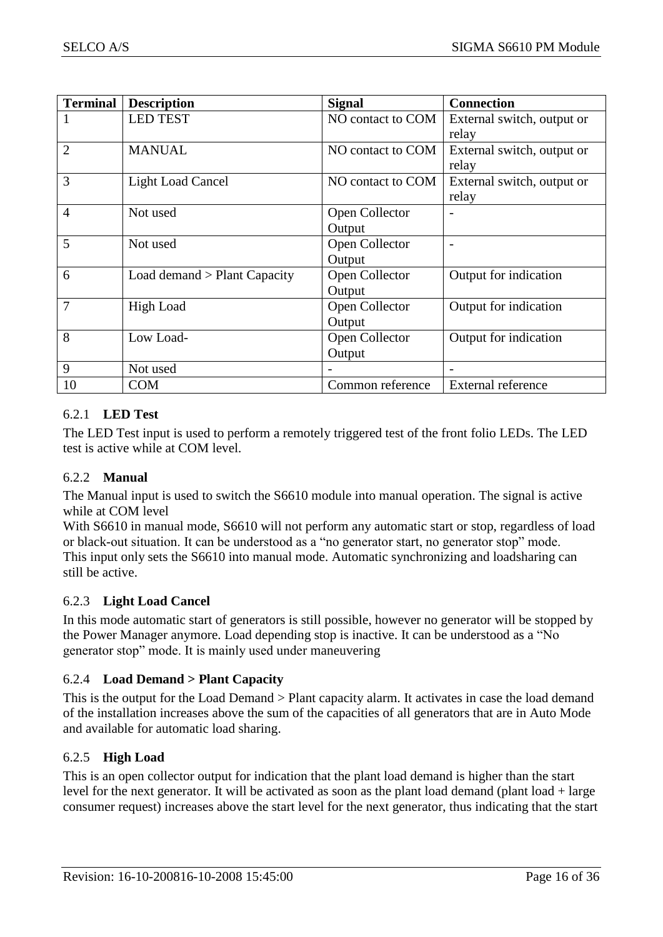| <b>Terminal</b> | <b>Description</b>           | <b>Signal</b>     | <b>Connection</b>          |
|-----------------|------------------------------|-------------------|----------------------------|
| 1               | <b>LED TEST</b>              | NO contact to COM | External switch, output or |
|                 |                              |                   | relay                      |
| $\overline{2}$  | <b>MANUAL</b>                | NO contact to COM | External switch, output or |
|                 |                              |                   | relay                      |
| 3               | <b>Light Load Cancel</b>     | NO contact to COM | External switch, output or |
|                 |                              |                   | relay                      |
| $\overline{4}$  | Not used                     | Open Collector    |                            |
|                 |                              | Output            |                            |
| 5               | Not used                     | Open Collector    |                            |
|                 |                              | Output            |                            |
| 6               | Load demand > Plant Capacity | Open Collector    | Output for indication      |
|                 |                              | Output            |                            |
| $\overline{7}$  | <b>High Load</b>             | Open Collector    | Output for indication      |
|                 |                              | Output            |                            |
| 8               | Low Load-                    | Open Collector    | Output for indication      |
|                 |                              | Output            |                            |
| 9               | Not used                     |                   |                            |
| 10              | <b>COM</b>                   | Common reference  | External reference         |

#### <span id="page-15-0"></span>6.2.1 **LED Test**

The LED Test input is used to perform a remotely triggered test of the front folio LEDs. The LED test is active while at COM level.

#### <span id="page-15-1"></span>6.2.2 **Manual**

The Manual input is used to switch the S6610 module into manual operation. The signal is active while at COM level

With S6610 in manual mode, S6610 will not perform any automatic start or stop, regardless of load or black-out situation. It can be understood as a "no generator start, no generator stop" mode. This input only sets the S6610 into manual mode. Automatic synchronizing and loadsharing can still be active.

#### <span id="page-15-2"></span>6.2.3 **Light Load Cancel**

In this mode automatic start of generators is still possible, however no generator will be stopped by the Power Manager anymore. Load depending stop is inactive. It can be understood as a "No generator stop" mode. It is mainly used under maneuvering

#### <span id="page-15-3"></span>6.2.4 **Load Demand > Plant Capacity**

This is the output for the Load Demand > Plant capacity alarm. It activates in case the load demand of the installation increases above the sum of the capacities of all generators that are in Auto Mode and available for automatic load sharing.

#### <span id="page-15-4"></span>6.2.5 **High Load**

This is an open collector output for indication that the plant load demand is higher than the start level for the next generator. It will be activated as soon as the plant load demand (plant load + large consumer request) increases above the start level for the next generator, thus indicating that the start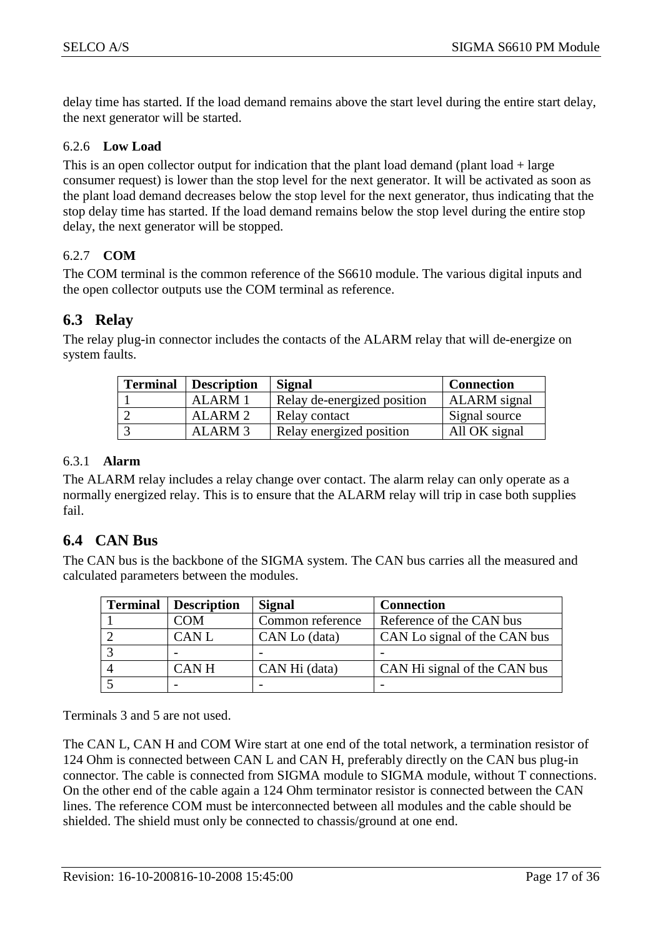delay time has started. If the load demand remains above the start level during the entire start delay, the next generator will be started.

#### <span id="page-16-0"></span>6.2.6 **Low Load**

This is an open collector output for indication that the plant load demand (plant load  $+$  large consumer request) is lower than the stop level for the next generator. It will be activated as soon as the plant load demand decreases below the stop level for the next generator, thus indicating that the stop delay time has started. If the load demand remains below the stop level during the entire stop delay, the next generator will be stopped.

#### <span id="page-16-1"></span>6.2.7 **COM**

The COM terminal is the common reference of the S6610 module. The various digital inputs and the open collector outputs use the COM terminal as reference.

#### <span id="page-16-2"></span>**6.3 Relay**

The relay plug-in connector includes the contacts of the ALARM relay that will de-energize on system faults.

| <b>Terminal</b> Description | Signal                      | <b>Connection</b>   |
|-----------------------------|-----------------------------|---------------------|
| ALARM 1                     | Relay de-energized position | <b>ALARM</b> signal |
| ALARM 2                     | Relay contact               | Signal source       |
| ALARM <sub>3</sub>          | Relay energized position    | All OK signal       |

#### <span id="page-16-3"></span>6.3.1 **Alarm**

The ALARM relay includes a relay change over contact. The alarm relay can only operate as a normally energized relay. This is to ensure that the ALARM relay will trip in case both supplies fail.

#### <span id="page-16-4"></span>**6.4 CAN Bus**

The CAN bus is the backbone of the SIGMA system. The CAN bus carries all the measured and calculated parameters between the modules.

| <b>Terminal</b> | <b>Description</b> | <b>Signal</b>    | <b>Connection</b>            |
|-----------------|--------------------|------------------|------------------------------|
|                 | COM                | Common reference | Reference of the CAN bus     |
|                 | <b>CANL</b>        | CAN Lo (data)    | CAN Lo signal of the CAN bus |
|                 |                    |                  |                              |
|                 | <b>CANH</b>        | CAN Hi (data)    | CAN Hi signal of the CAN bus |
|                 |                    |                  |                              |

Terminals 3 and 5 are not used.

The CAN L, CAN H and COM Wire start at one end of the total network, a termination resistor of 124 Ohm is connected between CAN L and CAN H, preferably directly on the CAN bus plug-in connector. The cable is connected from SIGMA module to SIGMA module, without T connections. On the other end of the cable again a 124 Ohm terminator resistor is connected between the CAN lines. The reference COM must be interconnected between all modules and the cable should be shielded. The shield must only be connected to chassis/ground at one end.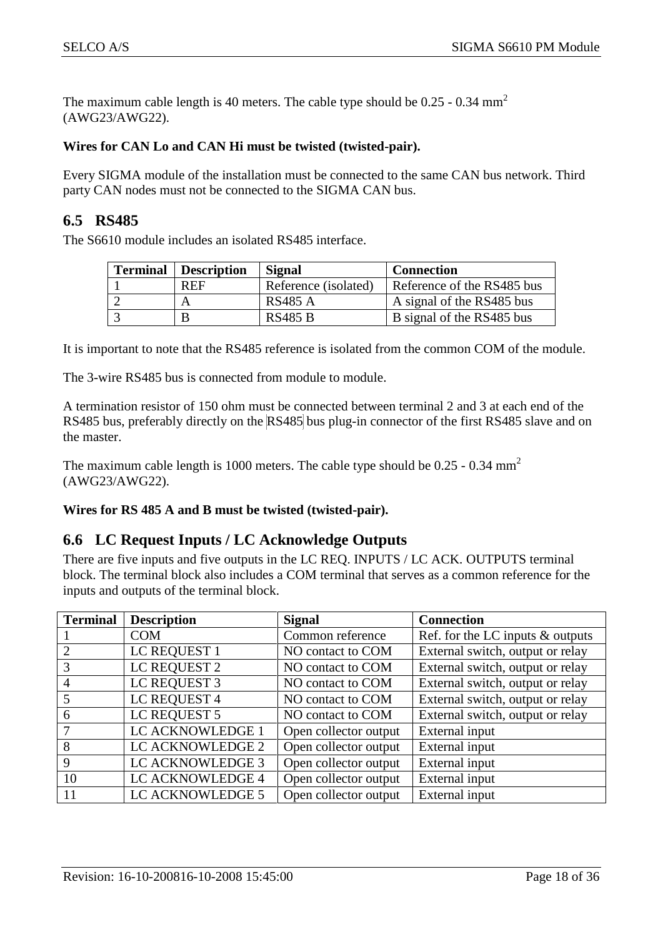The maximum cable length is 40 meters. The cable type should be  $0.25 - 0.34$  mm<sup>2</sup> (AWG23/AWG22).

#### **Wires for CAN Lo and CAN Hi must be twisted (twisted-pair).**

Every SIGMA module of the installation must be connected to the same CAN bus network. Third party CAN nodes must not be connected to the SIGMA CAN bus.

#### <span id="page-17-0"></span>**6.5 RS485**

The S6610 module includes an isolated RS485 interface.

| <b>Terminal</b> | Description | <b>Signal</b>        | <b>Connection</b>          |
|-----------------|-------------|----------------------|----------------------------|
|                 | <b>REF</b>  | Reference (isolated) | Reference of the RS485 bus |
|                 |             | <b>RS485 A</b>       | A signal of the RS485 bus  |
|                 |             | <b>RS485 B</b>       | B signal of the RS485 bus  |

It is important to note that the RS485 reference is isolated from the common COM of the module.

The 3-wire RS485 bus is connected from module to module.

A termination resistor of 150 ohm must be connected between terminal 2 and 3 at each end of the RS485 bus, preferably directly on the RS485 bus plug-in connector of the first RS485 slave and on the master.

The maximum cable length is 1000 meters. The cable type should be  $0.25 - 0.34$  mm<sup>2</sup> (AWG23/AWG22).

**Wires for RS 485 A and B must be twisted (twisted-pair).**

#### <span id="page-17-1"></span>**6.6 LC Request Inputs / LC Acknowledge Outputs**

There are five inputs and five outputs in the LC REQ. INPUTS / LC ACK. OUTPUTS terminal block. The terminal block also includes a COM terminal that serves as a common reference for the inputs and outputs of the terminal block.

| <b>Terminal</b> | <b>Description</b> | <b>Signal</b>         | <b>Connection</b>                   |
|-----------------|--------------------|-----------------------|-------------------------------------|
|                 | <b>COM</b>         | Common reference      | Ref. for the LC inputs $\&$ outputs |
| 2               | LC REQUEST 1       | NO contact to COM     | External switch, output or relay    |
| 3               | LC REQUEST 2       | NO contact to COM     | External switch, output or relay    |
| $\overline{A}$  | LC REQUEST 3       | NO contact to COM     | External switch, output or relay    |
|                 | LC REQUEST 4       | NO contact to COM     | External switch, output or relay    |
| 6               | LC REQUEST 5       | NO contact to COM     | External switch, output or relay    |
|                 | LC ACKNOWLEDGE 1   | Open collector output | External input                      |
| 8               | LC ACKNOWLEDGE 2   | Open collector output | External input                      |
| 9               | LC ACKNOWLEDGE 3   | Open collector output | External input                      |
| 10              | LC ACKNOWLEDGE 4   | Open collector output | External input                      |
| 11              | LC ACKNOWLEDGE 5   | Open collector output | External input                      |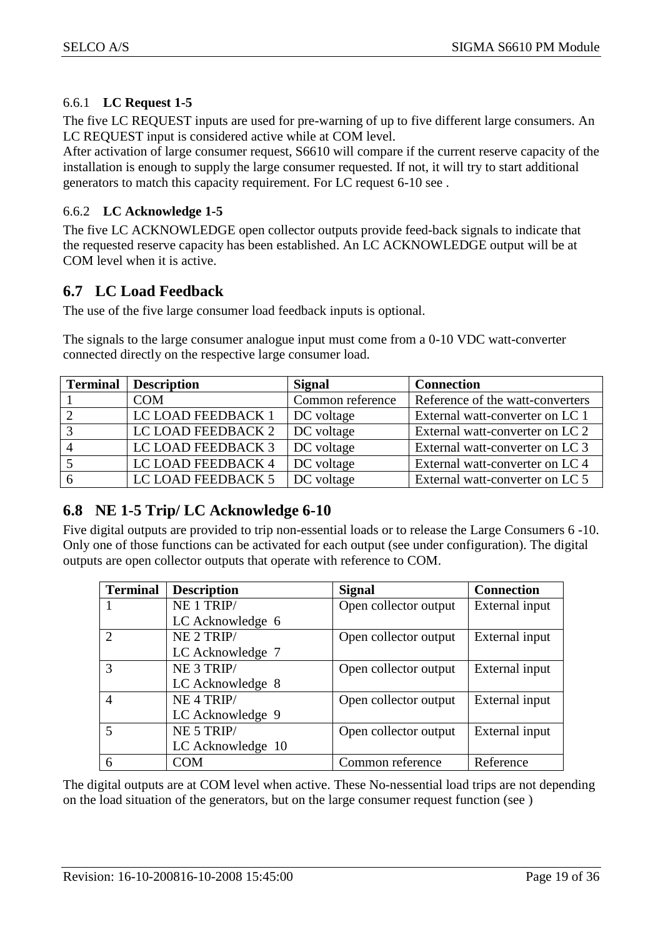#### 6.6.1 **LC Request 1-5**

<span id="page-18-0"></span>The five LC REQUEST inputs are used for pre-warning of up to five different large consumers. An LC REQUEST input is considered active while at COM level.

After activation of large consumer request, S6610 will compare if the current reserve capacity of the installation is enough to supply the large consumer requested. If not, it will try to start additional generators to match this capacity requirement. For LC request 6-10 see .

#### <span id="page-18-1"></span>6.6.2 **LC Acknowledge 1-5**

The five LC ACKNOWLEDGE open collector outputs provide feed-back signals to indicate that the requested reserve capacity has been established. An LC ACKNOWLEDGE output will be at COM level when it is active.

#### <span id="page-18-2"></span>**6.7 LC Load Feedback**

The use of the five large consumer load feedback inputs is optional.

The signals to the large consumer analogue input must come from a 0-10 VDC watt-converter connected directly on the respective large consumer load.

| <b>Terminal</b> Description | <b>Signal</b>    | <b>Connection</b>                |
|-----------------------------|------------------|----------------------------------|
| <b>COM</b>                  | Common reference | Reference of the watt-converters |
| LC LOAD FEEDBACK 1          | DC voltage       | External watt-converter on LC 1  |
| LC LOAD FEEDBACK 2          | DC voltage       | External watt-converter on LC 2  |
| LC LOAD FEEDBACK 3          | DC voltage       | External watt-converter on LC 3  |
| LC LOAD FEEDBACK 4          | DC voltage       | External watt-converter on LC 4  |
| LC LOAD FEEDBACK 5          | DC voltage       | External watt-converter on LC 5  |

#### <span id="page-18-3"></span>**6.8 NE 1-5 Trip/ LC Acknowledge 6-10**

Five digital outputs are provided to trip non-essential loads or to release the Large Consumers 6 -10. Only one of those functions can be activated for each output (see under configuration). The digital outputs are open collector outputs that operate with reference to COM.

| <b>Terminal</b> | <b>Description</b>    | <b>Signal</b>         | <b>Connection</b> |
|-----------------|-----------------------|-----------------------|-------------------|
|                 | NE 1 TRIP/            | Open collector output | External input    |
|                 | LC Acknowledge 6      |                       |                   |
|                 | NE 2 TRIP/            | Open collector output | External input    |
|                 | LC Acknowledge 7      |                       |                   |
| $\mathcal{R}$   | NE 3 TRIP/            | Open collector output | External input    |
|                 | LC Acknowledge 8      |                       |                   |
|                 | NE <sub>4</sub> TRIP/ | Open collector output | External input    |
|                 | LC Acknowledge 9      |                       |                   |
|                 | NE 5 TRIP/            | Open collector output | External input    |
|                 | LC Acknowledge 10     |                       |                   |
| 6               | COM                   | Common reference      | Reference         |

The digital outputs are at COM level when active. These No-nessential load trips are not depending on the load situation of the generators, but on the large consumer request function (see )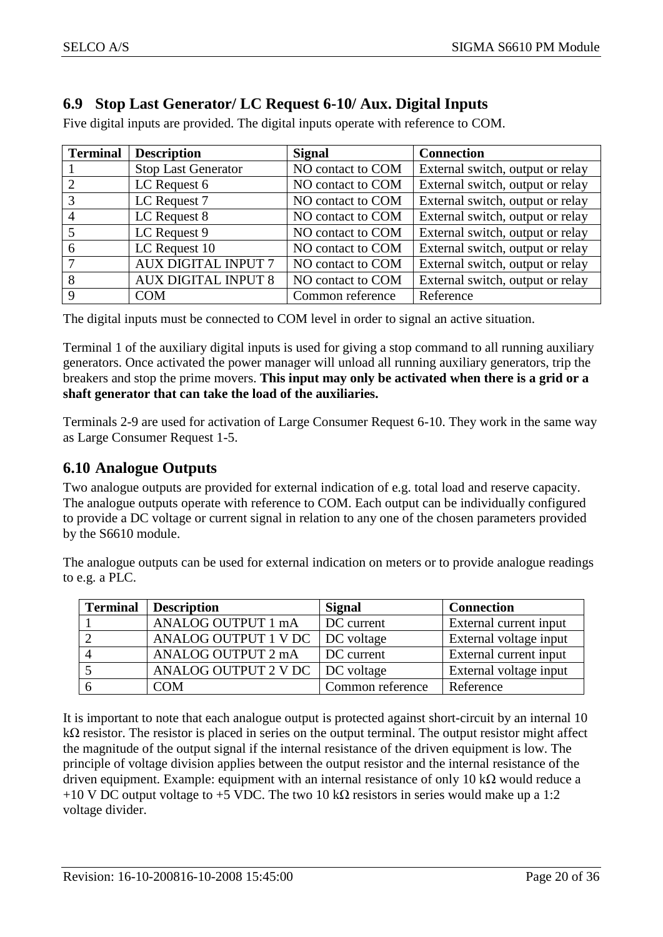### <span id="page-19-0"></span>**6.9 Stop Last Generator/ LC Request 6-10/ Aux. Digital Inputs**

Five digital inputs are provided. The digital inputs operate with reference to COM.

| <b>Terminal</b> | <b>Description</b>         | <b>Signal</b>     | <b>Connection</b>                |
|-----------------|----------------------------|-------------------|----------------------------------|
|                 | <b>Stop Last Generator</b> | NO contact to COM | External switch, output or relay |
|                 | LC Request 6               | NO contact to COM | External switch, output or relay |
|                 | LC Request 7               | NO contact to COM | External switch, output or relay |
|                 | LC Request 8               | NO contact to COM | External switch, output or relay |
|                 | LC Request 9               | NO contact to COM | External switch, output or relay |
| 6               | LC Request 10              | NO contact to COM | External switch, output or relay |
|                 | <b>AUX DIGITAL INPUT 7</b> | NO contact to COM | External switch, output or relay |
| 8               | <b>AUX DIGITAL INPUT 8</b> | NO contact to COM | External switch, output or relay |
| 9               | <b>COM</b>                 | Common reference  | Reference                        |

The digital inputs must be connected to COM level in order to signal an active situation.

Terminal 1 of the auxiliary digital inputs is used for giving a stop command to all running auxiliary generators. Once activated the power manager will unload all running auxiliary generators, trip the breakers and stop the prime movers. **This input may only be activated when there is a grid or a shaft generator that can take the load of the auxiliaries.**

Terminals 2-9 are used for activation of Large Consumer Request 6-10. They work in the same way as Large Consumer Request 1-5.

#### <span id="page-19-1"></span>**6.10 Analogue Outputs**

Two analogue outputs are provided for external indication of e.g. total load and reserve capacity. The analogue outputs operate with reference to COM. Each output can be individually configured to provide a DC voltage or current signal in relation to any one of the chosen parameters provided by the S6610 module.

The analogue outputs can be used for external indication on meters or to provide analogue readings to e.g. a PLC.

| <b>Terminal</b> | Description                       | <b>Signal</b>    | <b>Connection</b>      |
|-----------------|-----------------------------------|------------------|------------------------|
|                 | ANALOG OUTPUT 1 mA                | DC current       | External current input |
|                 | ANALOG OUTPUT 1 V DC   DC voltage |                  | External voltage input |
|                 | ANALOG OUTPUT 2 mA                | DC current       | External current input |
|                 | ANALOG OUTPUT 2 V DC   DC voltage |                  | External voltage input |
|                 | COM                               | Common reference | Reference              |

It is important to note that each analogue output is protected against short-circuit by an internal 10  $k\Omega$  resistor. The resistor is placed in series on the output terminal. The output resistor might affect the magnitude of the output signal if the internal resistance of the driven equipment is low. The principle of voltage division applies between the output resistor and the internal resistance of the driven equipment. Example: equipment with an internal resistance of only 10 kΩ would reduce a +10 V DC output voltage to +5 VDC. The two 10 k $\Omega$  resistors in series would make up a 1:2 voltage divider.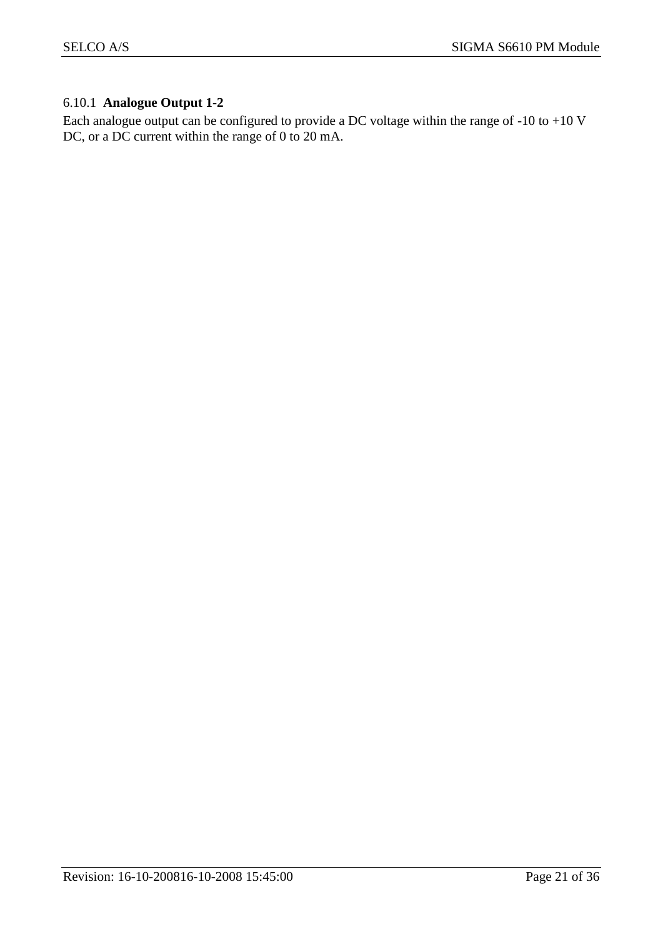#### <span id="page-20-0"></span>6.10.1 **Analogue Output 1-2**

Each analogue output can be configured to provide a DC voltage within the range of -10 to +10 V DC, or a DC current within the range of 0 to 20 mA.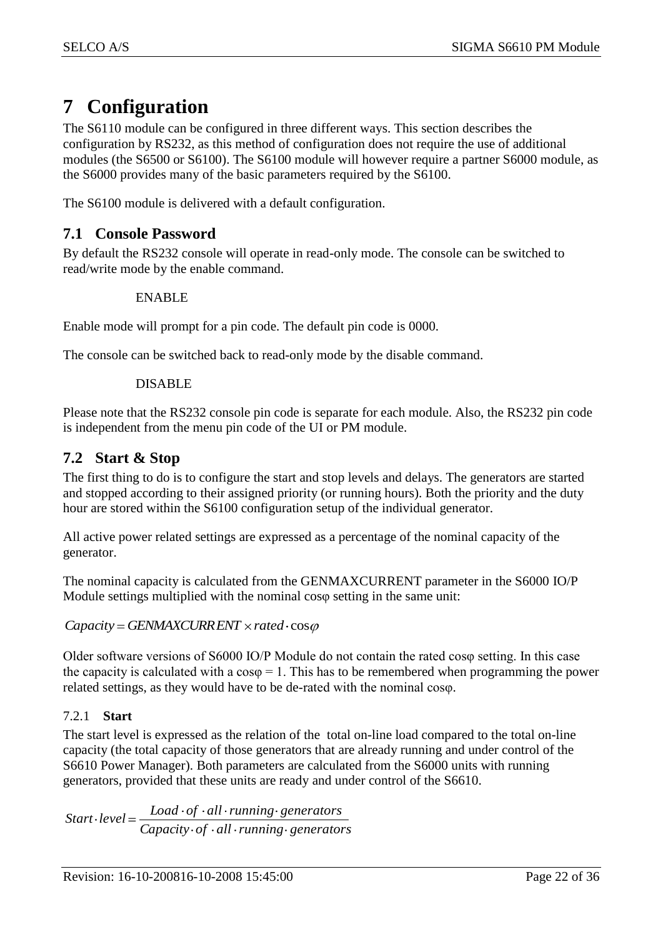### <span id="page-21-0"></span>**7 Configuration**

The S6110 module can be configured in three different ways. This section describes the configuration by RS232, as this method of configuration does not require the use of additional modules (the S6500 or S6100). The S6100 module will however require a partner S6000 module, as the S6000 provides many of the basic parameters required by the S6100.

The S6100 module is delivered with a default configuration.

#### <span id="page-21-1"></span>**7.1 Console Password**

By default the RS232 console will operate in read-only mode. The console can be switched to read/write mode by the enable command.

#### ENABLE

Enable mode will prompt for a pin code. The default pin code is 0000.

The console can be switched back to read-only mode by the disable command.

#### DISABLE

Please note that the RS232 console pin code is separate for each module. Also, the RS232 pin code is independent from the menu pin code of the UI or PM module.

#### <span id="page-21-2"></span>**7.2 Start & Stop**

The first thing to do is to configure the start and stop levels and delays. The generators are started and stopped according to their assigned priority (or running hours). Both the priority and the duty hour are stored within the S6100 configuration setup of the individual generator.

All active power related settings are expressed as a percentage of the nominal capacity of the generator.

The nominal capacity is calculated from the GENMAXCURRENT parameter in the S6000 IO/P Module settings multiplied with the nominal cosφ setting in the same unit:

 $Capacity = GENMAXCURRENT \times rated \cdot cos\varphi$ 

Older software versions of S6000 IO/P Module do not contain the rated cosφ setting. In this case the capacity is calculated with a  $cos\varphi = 1$ . This has to be remembered when programming the power related settings, as they would have to be de-rated with the nominal cosφ.

#### <span id="page-21-3"></span>7.2.1 **Start**

The start level is expressed as the relation of the total on-line load compared to the total on-line capacity (the total capacity of those generators that are already running and under control of the S6610 Power Manager). Both parameters are calculated from the S6000 units with running generators, provided that these units are ready and under control of the S6610.

*Capacity of all running generators Start* ·  $level = \frac{Load \cdot of \cdot all \cdot running \cdot generators}{\frac{1}{log}(1 + \frac{1}{log}(1 + \frac{1}{log}(1 + \frac{1}{log}(1 + \frac{1}{log}(1 + \frac{1}{log}(1 + \frac{1}{log}(1 + \frac{1}{log}(1 + \frac{1}{log}(1 + \frac{1}{log}(1 + \frac{1}{log}(1 + \frac{1}{log}(1 + \frac{1}{log}(1 + \frac{1}{log}(1 + \frac{1}{log}(1 + \frac{1}{log}(1 + \frac{1}{log}(1 + \frac{1}{log}(1 + \frac{1}{log}(1 + \frac{1}{log}(1 + \frac{1}{log}(1 + \frac$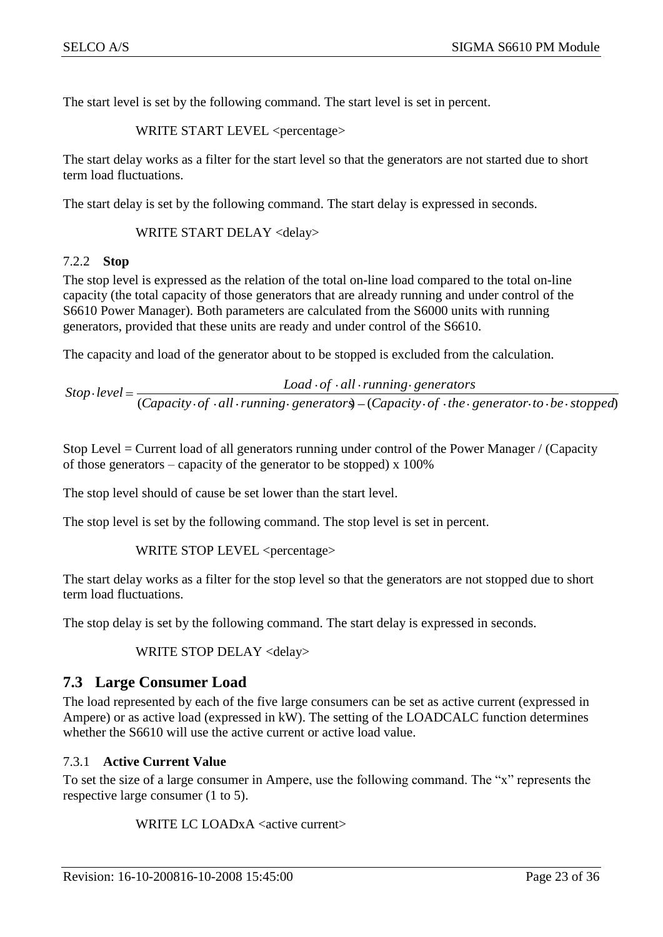The start level is set by the following command. The start level is set in percent.

WRITE START LEVEL <percentage>

The start delay works as a filter for the start level so that the generators are not started due to short term load fluctuations.

The start delay is set by the following command. The start delay is expressed in seconds.

WRITE START DELAY <delay>

#### <span id="page-22-0"></span>7.2.2 **Stop**

The stop level is expressed as the relation of the total on-line load compared to the total on-line capacity (the total capacity of those generators that are already running and under control of the S6610 Power Manager). Both parameters are calculated from the S6000 units with running generators, provided that these units are ready and under control of the S6610.

The capacity and load of the generator about to be stopped is excluded from the calculation.

(*Capacity of all running generators*) (*Capacity of the generator to be stopped*)  $Stop\text{-}level =$   $Load\text{-}of\text{-}all\text{-}running\text{-}generators$ 

Stop Level = Current load of all generators running under control of the Power Manager / (Capacity of those generators – capacity of the generator to be stopped) x 100%

The stop level should of cause be set lower than the start level.

The stop level is set by the following command. The stop level is set in percent.

#### WRITE STOP LEVEL <percentage>

The start delay works as a filter for the stop level so that the generators are not stopped due to short term load fluctuations.

The stop delay is set by the following command. The start delay is expressed in seconds.

#### WRITE STOP DELAY <delay>

#### <span id="page-22-1"></span>**7.3 Large Consumer Load**

The load represented by each of the five large consumers can be set as active current (expressed in Ampere) or as active load (expressed in kW). The setting of the LOADCALC function determines whether the S6610 will use the active current or active load value.

#### <span id="page-22-2"></span>7.3.1 **Active Current Value**

To set the size of a large consumer in Ampere, use the following command. The "x" represents the respective large consumer (1 to 5).

WRITE LC LOADx A <active current>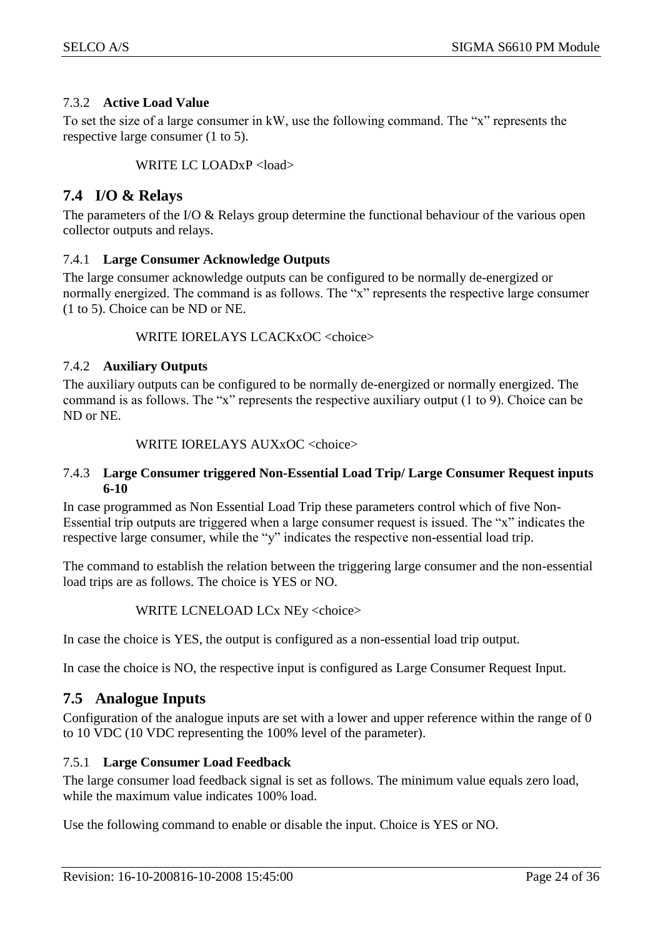#### <span id="page-23-0"></span>7.3.2 **Active Load Value**

To set the size of a large consumer in kW, use the following command. The "x" represents the respective large consumer (1 to 5).

WRITE LC LOADxP <load>

#### <span id="page-23-1"></span>**7.4 I/O & Relays**

The parameters of the I/O & Relays group determine the functional behaviour of the various open collector outputs and relays.

#### <span id="page-23-2"></span>7.4.1 **Large Consumer Acknowledge Outputs**

The large consumer acknowledge outputs can be configured to be normally de-energized or normally energized. The command is as follows. The "x" represents the respective large consumer (1 to 5). Choice can be ND or NE.

WRITE IORELAYS LCACKxOC <choice>

#### <span id="page-23-3"></span>7.4.2 **Auxiliary Outputs**

The auxiliary outputs can be configured to be normally de-energized or normally energized. The command is as follows. The "x" represents the respective auxiliary output (1 to 9). Choice can be ND or NE.

#### WRITE IORELAYS AUXxOC <choice>

#### <span id="page-23-4"></span>7.4.3 **Large Consumer triggered Non-Essential Load Trip/ Large Consumer Request inputs 6-10**

In case programmed as Non Essential Load Trip these parameters control which of five Non-Essential trip outputs are triggered when a large consumer request is issued. The "x" indicates the respective large consumer, while the "y" indicates the respective non-essential load trip.

The command to establish the relation between the triggering large consumer and the non-essential load trips are as follows. The choice is YES or NO.

#### WRITE LCNELOAD LCx NEy <choice>

In case the choice is YES, the output is configured as a non-essential load trip output.

In case the choice is NO, the respective input is configured as Large Consumer Request Input.

#### <span id="page-23-5"></span>**7.5 Analogue Inputs**

Configuration of the analogue inputs are set with a lower and upper reference within the range of 0 to 10 VDC (10 VDC representing the 100% level of the parameter).

#### <span id="page-23-6"></span>7.5.1 **Large Consumer Load Feedback**

The large consumer load feedback signal is set as follows. The minimum value equals zero load, while the maximum value indicates 100% load.

Use the following command to enable or disable the input. Choice is YES or NO.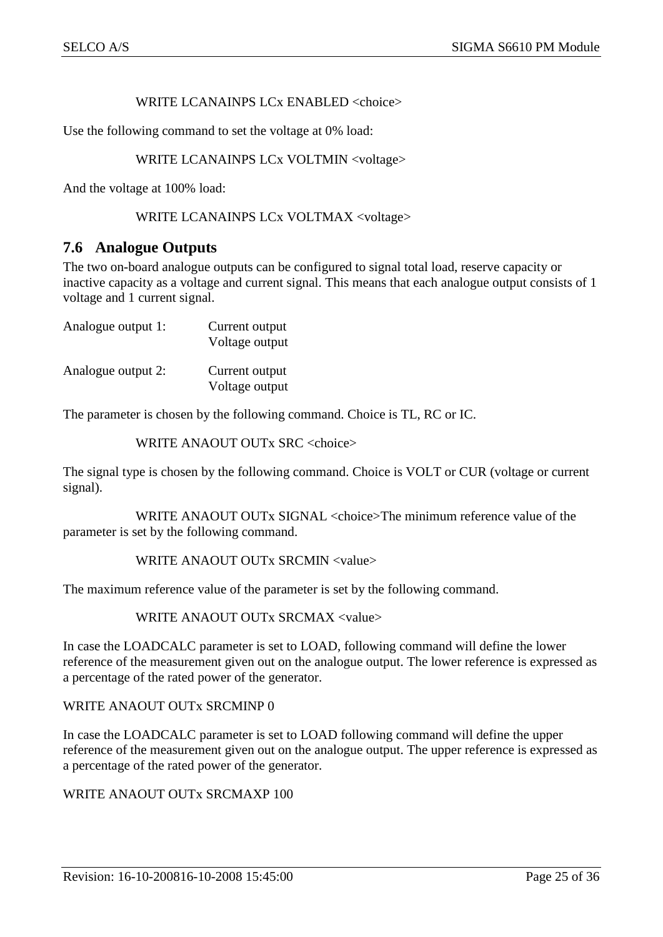#### WRITE LCANAINPS LCx ENABLED <choice>

Use the following command to set the voltage at 0% load:

#### WRITE LCANAINPS LCx VOLTMIN <voltage>

And the voltage at 100% load:

#### WRITE LCANAINPS LCx VOLTMAX <voltage>

#### <span id="page-24-0"></span>**7.6 Analogue Outputs**

The two on-board analogue outputs can be configured to signal total load, reserve capacity or inactive capacity as a voltage and current signal. This means that each analogue output consists of 1 voltage and 1 current signal.

| Analogue output 1: | Current output<br>Voltage output |
|--------------------|----------------------------------|
| Analogue output 2: | Current output<br>Voltage output |

The parameter is chosen by the following command. Choice is TL, RC or IC.

WRITE ANAOUT OUTx SRC <choice>

The signal type is chosen by the following command. Choice is VOLT or CUR (voltage or current signal).

WRITE ANAOUT OUTx SIGNAL <choice>The minimum reference value of the parameter is set by the following command.

#### WRITE ANAOUT OUTx SRCMIN <value>

The maximum reference value of the parameter is set by the following command.

WRITE ANAOUT OUTx SRCMAX <value>

In case the LOADCALC parameter is set to LOAD, following command will define the lower reference of the measurement given out on the analogue output. The lower reference is expressed as a percentage of the rated power of the generator.

#### WRITE ANAOUT OUTx SRCMINP 0

In case the LOADCALC parameter is set to LOAD following command will define the upper reference of the measurement given out on the analogue output. The upper reference is expressed as a percentage of the rated power of the generator.

WRITE ANAOUT OUTx SRCMAXP 100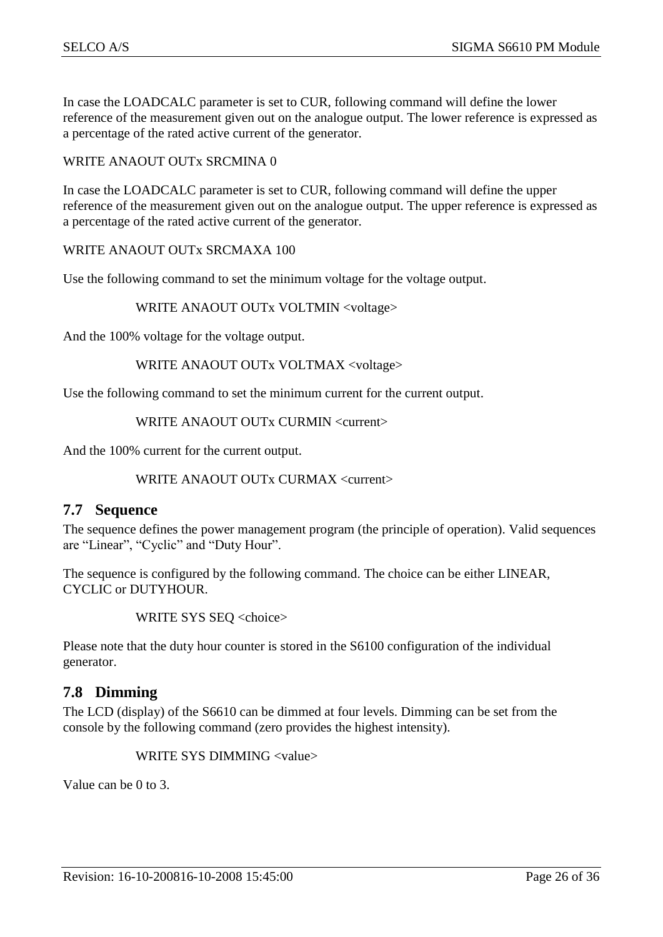In case the LOADCALC parameter is set to CUR, following command will define the lower reference of the measurement given out on the analogue output. The lower reference is expressed as a percentage of the rated active current of the generator.

#### WRITE ANAOUT OUTx SRCMINA 0

In case the LOADCALC parameter is set to CUR, following command will define the upper reference of the measurement given out on the analogue output. The upper reference is expressed as a percentage of the rated active current of the generator.

#### WRITE ANAOUT OUTx SRCMAXA 100

Use the following command to set the minimum voltage for the voltage output.

WRITE ANAOUT OUTx VOLTMIN <voltage>

And the 100% voltage for the voltage output.

#### WRITE ANAOUT OUTx VOLTMAX <voltage>

Use the following command to set the minimum current for the current output.

WRITE ANAOUT OUTx CURMIN <current>

And the 100% current for the current output.

#### WRITE ANAOUT OUTx CURMAX <current>

#### <span id="page-25-0"></span>**7.7 Sequence**

The sequence defines the power management program (the principle of operation). Valid sequences are "Linear", "Cyclic" and "Duty Hour".

The sequence is configured by the following command. The choice can be either LINEAR, CYCLIC or DUTYHOUR.

WRITE SYS SEQ <choice>

Please note that the duty hour counter is stored in the S6100 configuration of the individual generator.

#### <span id="page-25-1"></span>**7.8 Dimming**

The LCD (display) of the S6610 can be dimmed at four levels. Dimming can be set from the console by the following command (zero provides the highest intensity).

WRITE SYS DIMMING <value>

Value can be 0 to 3.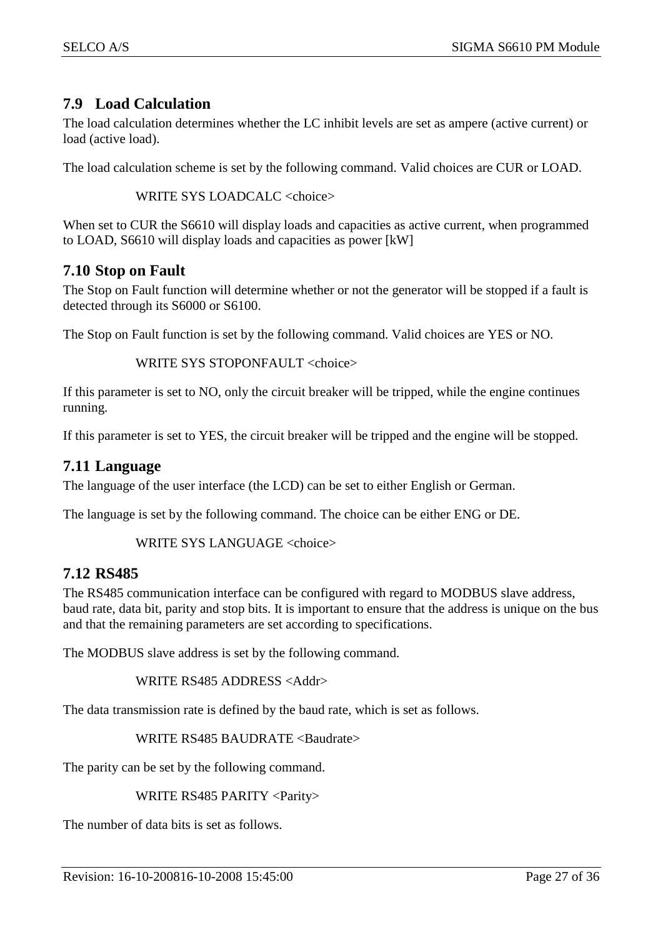#### <span id="page-26-0"></span>**7.9 Load Calculation**

The load calculation determines whether the LC inhibit levels are set as ampere (active current) or load (active load).

The load calculation scheme is set by the following command. Valid choices are CUR or LOAD.

WRITE SYS LOADCALC <choice>

When set to CUR the S6610 will display loads and capacities as active current, when programmed to LOAD, S6610 will display loads and capacities as power [kW]

#### <span id="page-26-1"></span>**7.10 Stop on Fault**

The Stop on Fault function will determine whether or not the generator will be stopped if a fault is detected through its S6000 or S6100.

The Stop on Fault function is set by the following command. Valid choices are YES or NO.

WRITE SYS STOPONFAULT <choice>

If this parameter is set to NO, only the circuit breaker will be tripped, while the engine continues running.

If this parameter is set to YES, the circuit breaker will be tripped and the engine will be stopped.

#### <span id="page-26-2"></span>**7.11 Language**

The language of the user interface (the LCD) can be set to either English or German.

The language is set by the following command. The choice can be either ENG or DE.

WRITE SYS LANGUAGE <choice>

#### <span id="page-26-3"></span>**7.12 RS485**

The RS485 communication interface can be configured with regard to MODBUS slave address, baud rate, data bit, parity and stop bits. It is important to ensure that the address is unique on the bus and that the remaining parameters are set according to specifications.

The MODBUS slave address is set by the following command.

WRITE RS485 ADDRESS <Addr>

The data transmission rate is defined by the baud rate, which is set as follows.

WRITE RS485 BAUDRATE <Baudrate>

The parity can be set by the following command.

#### WRITE RS485 PARITY <Parity>

The number of data bits is set as follows.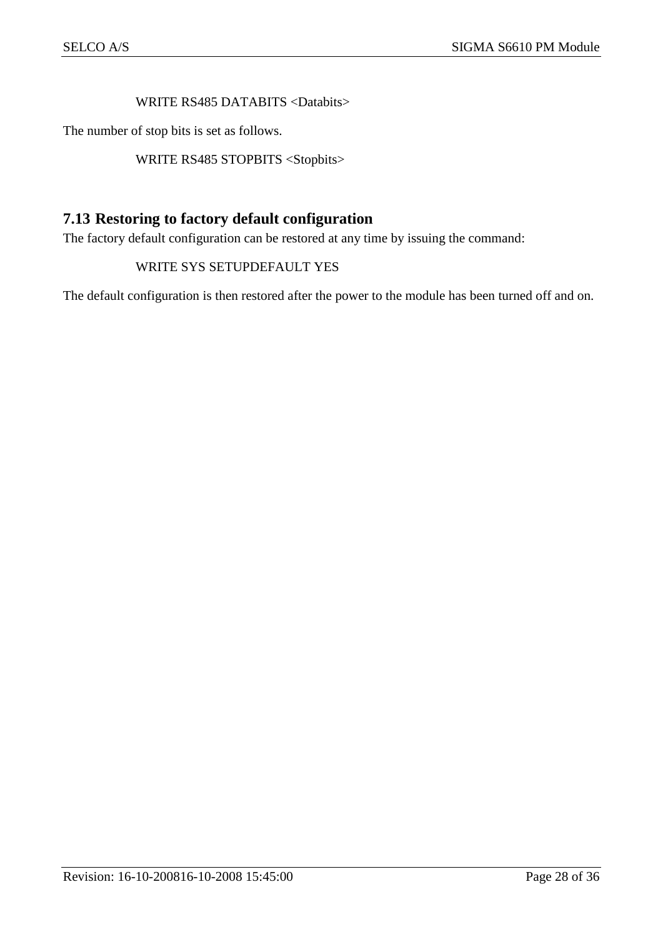#### WRITE RS485 DATABITS <Databits>

The number of stop bits is set as follows.

WRITE RS485 STOPBITS <Stopbits>

#### <span id="page-27-0"></span>**7.13 Restoring to factory default configuration**

The factory default configuration can be restored at any time by issuing the command:

#### WRITE SYS SETUPDEFAULT YES

The default configuration is then restored after the power to the module has been turned off and on.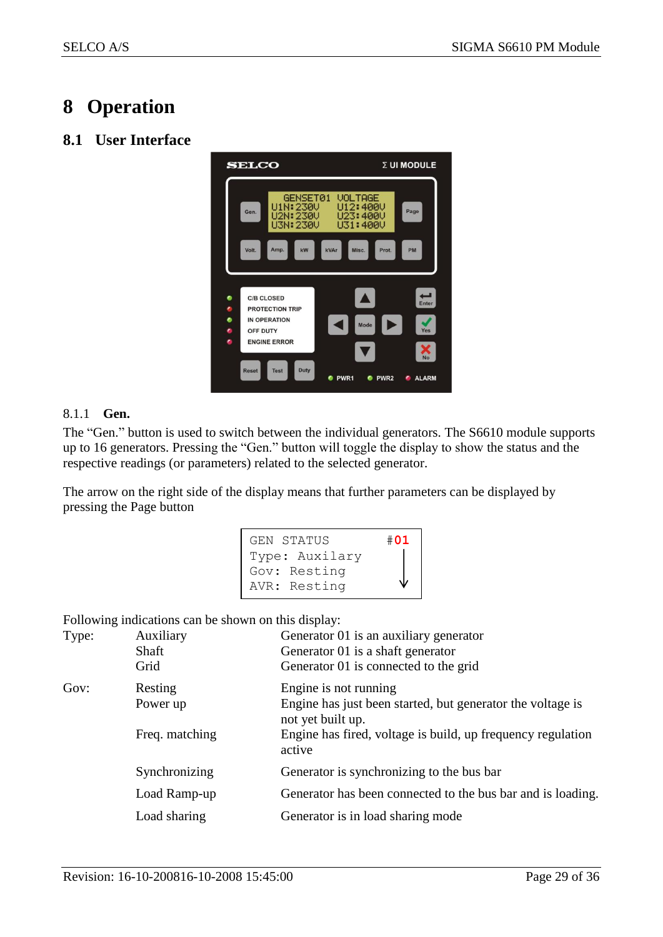### <span id="page-28-0"></span>**8 Operation**

#### <span id="page-28-1"></span>**8.1 User Interface**



#### <span id="page-28-2"></span>8.1.1 **Gen.**

The "Gen." button is used to switch between the individual generators. The S6610 module supports up to 16 generators. Pressing the "Gen." button will toggle the display to show the status and the respective readings (or parameters) related to the selected generator.

The arrow on the right side of the display means that further parameters can be displayed by pressing the Page button

```
GEN STATUS #01
Type: Auxilary
Gov: Resting
AVR: Resting
```
Following indications can be shown on this display:

| Type: | Auxiliary<br>Shaft<br>Grid | Generator 01 is an auxiliary generator<br>Generator 01 is a shaft generator<br>Generator 01 is connected to the grid |
|-------|----------------------------|----------------------------------------------------------------------------------------------------------------------|
| Gov:  | Resting<br>Power up        | Engine is not running<br>Engine has just been started, but generator the voltage is<br>not yet built up.             |
|       | Freq. matching             | Engine has fired, voltage is build, up frequency regulation<br>active                                                |
|       | Synchronizing              | Generator is synchronizing to the bus bar                                                                            |
|       | Load Ramp-up               | Generator has been connected to the bus bar and is loading.                                                          |
|       | Load sharing               | Generator is in load sharing mode                                                                                    |
|       |                            |                                                                                                                      |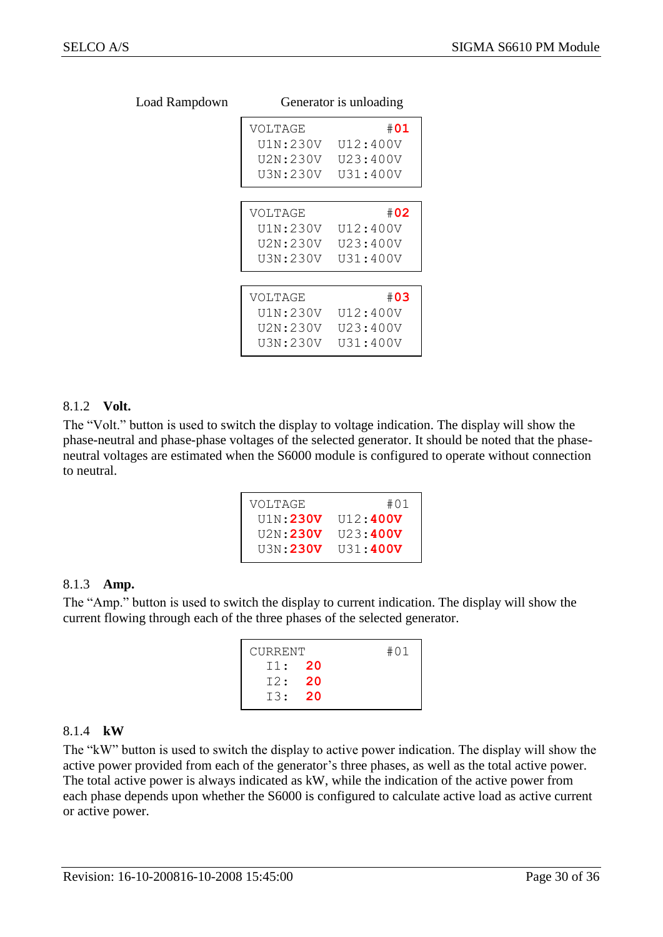| 7 L L |          | OUTLET ALOI IS UNIO AUNITY |
|-------|----------|----------------------------|
|       | VOLTAGE  | #01                        |
|       | U1N:230V | U12:400V                   |
|       | U2N:230V | U23:400V                   |
|       | U3N:230V | U31:400V                   |
|       |          |                            |
|       | VOLTAGE  | #02                        |
|       | U1N:230V | U12:400V                   |
|       | U2N:230V | U23:400V                   |
|       | U3N:230V | U31:400V                   |
|       |          |                            |
|       | VOLTAGE  | #03                        |
|       | U1N:230V | U12:400V                   |
|       | U2N:230V | U23:400V                   |
|       | U3N:230V | U31:400V                   |

#### Load Rampdown Generator is unloading

#### <span id="page-29-0"></span>8.1.2 **Volt.**

The "Volt." button is used to switch the display to voltage indication. The display will show the phase-neutral and phase-phase voltages of the selected generator. It should be noted that the phaseneutral voltages are estimated when the S6000 module is configured to operate without connection to neutral.

| VOLTAGE         | #01             |
|-----------------|-----------------|
| U1N:230V        | U12:400V        |
| U2N:230V        | 1123:400V       |
| <b>U3N:230V</b> | <b>U31:400V</b> |

#### <span id="page-29-1"></span>8.1.3 **Amp.**

The "Amp." button is used to switch the display to current indication. The display will show the current flowing through each of the three phases of the selected generator.

| CURRENT |      | #01 |
|---------|------|-----|
| T1: 20  |      |     |
| T2:     | - 20 |     |
| T3:20   |      |     |
|         |      |     |

#### <span id="page-29-2"></span>8.1.4 **kW**

The "kW" button is used to switch the display to active power indication. The display will show the active power provided from each of the generator's three phases, as well as the total active power. The total active power is always indicated as kW, while the indication of the active power from each phase depends upon whether the S6000 is configured to calculate active load as active current or active power.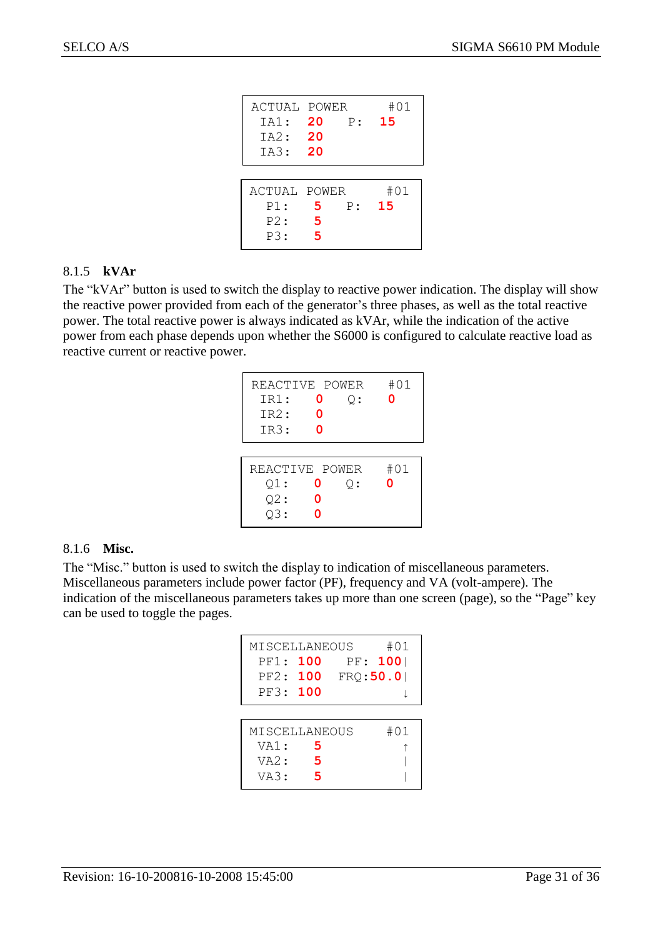| ACTUAL POWER<br>IA1: 20<br>IA2: 20<br>IA3: 20 |              | P: 15 | #01       |
|-----------------------------------------------|--------------|-------|-----------|
| ACTUAL POWER<br>P1:<br>P2:<br>P3:             | 5.<br>5<br>5 | P:    | #01<br>15 |

#### <span id="page-30-0"></span>8.1.5 **kVAr**

The "kVAr" button is used to switch the display to reactive power indication. The display will show the reactive power provided from each of the generator's three phases, as well as the total reactive power. The total reactive power is always indicated as kVAr, while the indication of the active power from each phase depends upon whether the S6000 is configured to calculate reactive load as reactive current or reactive power.

| REACTIVE POWER<br>IR1:<br>IR2:<br>IR3: | 0<br>ი<br>ი | Q: | #01<br>ი |
|----------------------------------------|-------------|----|----------|
| REACTIVE POWER<br>Q1:<br>Q2:<br>$Q3$ : | 0<br>0<br>ი | ○: | #01<br>O |

#### <span id="page-30-1"></span>8.1.6 **Misc.**

The "Misc." button is used to switch the display to indication of miscellaneous parameters. Miscellaneous parameters include power factor (PF), frequency and VA (volt-ampere). The indication of the miscellaneous parameters takes up more than one screen (page), so the "Page" key can be used to toggle the pages.

| MISCELLANEOUS<br>PF1: 100<br>PF2: 100<br>PF3: 100 |             | #01<br>PF: 100<br>FRO:50.0 |
|---------------------------------------------------|-------------|----------------------------|
| MISCELLANEOUS<br>VA1:<br>V A 2:<br>VA3:           | 5<br>5<br>5 | #01                        |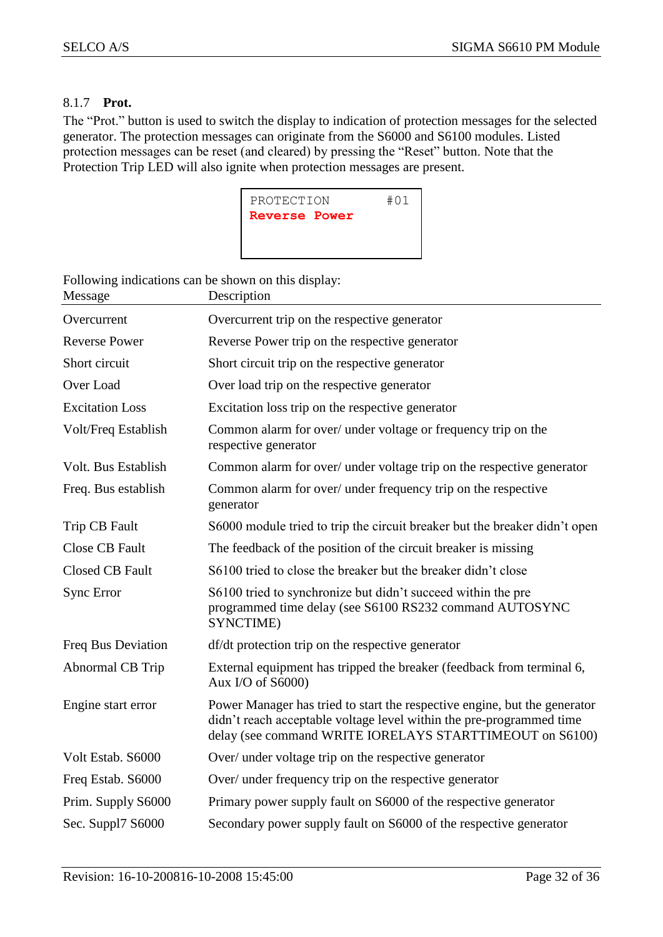#### <span id="page-31-0"></span>8.1.7 **Prot.**

The "Prot." button is used to switch the display to indication of protection messages for the selected generator. The protection messages can originate from the S6000 and S6100 modules. Listed protection messages can be reset (and cleared) by pressing the "Reset" button. Note that the Protection Trip LED will also ignite when protection messages are present.



Following indications can be shown on this display:

| Message                    | Description                                                                                                                                                                                                   |
|----------------------------|---------------------------------------------------------------------------------------------------------------------------------------------------------------------------------------------------------------|
| Overcurrent                | Overcurrent trip on the respective generator                                                                                                                                                                  |
| <b>Reverse Power</b>       | Reverse Power trip on the respective generator                                                                                                                                                                |
| Short circuit              | Short circuit trip on the respective generator                                                                                                                                                                |
| Over Load                  | Over load trip on the respective generator                                                                                                                                                                    |
| <b>Excitation Loss</b>     | Excitation loss trip on the respective generator                                                                                                                                                              |
| Volt/Freq Establish        | Common alarm for over/ under voltage or frequency trip on the<br>respective generator                                                                                                                         |
| <b>Volt. Bus Establish</b> | Common alarm for over/ under voltage trip on the respective generator                                                                                                                                         |
| Freq. Bus establish        | Common alarm for over/ under frequency trip on the respective<br>generator                                                                                                                                    |
| Trip CB Fault              | S6000 module tried to trip the circuit breaker but the breaker didn't open                                                                                                                                    |
| <b>Close CB Fault</b>      | The feedback of the position of the circuit breaker is missing                                                                                                                                                |
| Closed CB Fault            | S6100 tried to close the breaker but the breaker didn't close                                                                                                                                                 |
| <b>Sync Error</b>          | S6100 tried to synchronize but didn't succeed within the pre<br>programmed time delay (see S6100 RS232 command AUTOSYNC<br>SYNCTIME)                                                                          |
| Freq Bus Deviation         | df/dt protection trip on the respective generator                                                                                                                                                             |
| Abnormal CB Trip           | External equipment has tripped the breaker (feedback from terminal 6,<br>Aux I/O of S6000)                                                                                                                    |
| Engine start error         | Power Manager has tried to start the respective engine, but the generator<br>didn't reach acceptable voltage level within the pre-programmed time<br>delay (see command WRITE IORELAYS STARTTIMEOUT on S6100) |
| Volt Estab. S6000          | Over/ under voltage trip on the respective generator                                                                                                                                                          |
| Freq Estab. S6000          | Over/ under frequency trip on the respective generator                                                                                                                                                        |
| Prim. Supply S6000         | Primary power supply fault on S6000 of the respective generator                                                                                                                                               |
| Sec. Suppl7 S6000          | Secondary power supply fault on S6000 of the respective generator                                                                                                                                             |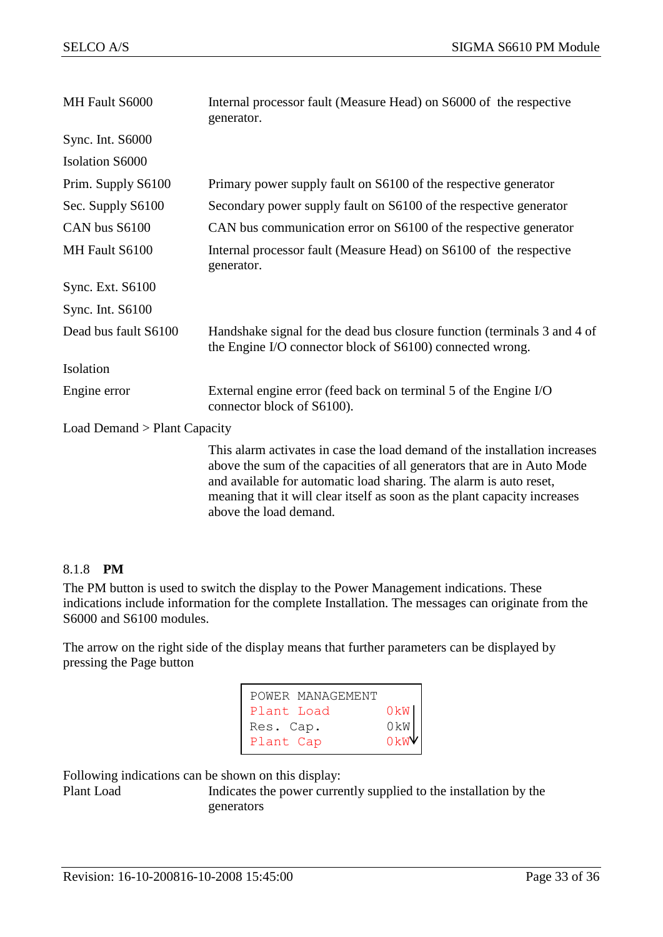| MH Fault S6000                 | Internal processor fault (Measure Head) on S6000 of the respective<br>generator.                                                                                                                                                                                                                                                   |
|--------------------------------|------------------------------------------------------------------------------------------------------------------------------------------------------------------------------------------------------------------------------------------------------------------------------------------------------------------------------------|
| Sync. Int. S6000               |                                                                                                                                                                                                                                                                                                                                    |
| <b>Isolation S6000</b>         |                                                                                                                                                                                                                                                                                                                                    |
| Prim. Supply S6100             | Primary power supply fault on S6100 of the respective generator                                                                                                                                                                                                                                                                    |
| Sec. Supply S6100              | Secondary power supply fault on S6100 of the respective generator                                                                                                                                                                                                                                                                  |
| CAN bus S6100                  | CAN bus communication error on S6100 of the respective generator                                                                                                                                                                                                                                                                   |
| MH Fault S6100                 | Internal processor fault (Measure Head) on S6100 of the respective<br>generator.                                                                                                                                                                                                                                                   |
| Sync. Ext. S6100               |                                                                                                                                                                                                                                                                                                                                    |
| Sync. Int. S6100               |                                                                                                                                                                                                                                                                                                                                    |
| Dead bus fault S6100           | Handshake signal for the dead bus closure function (terminals 3 and 4 of<br>the Engine I/O connector block of S6100) connected wrong.                                                                                                                                                                                              |
| Isolation                      |                                                                                                                                                                                                                                                                                                                                    |
| Engine error                   | External engine error (feed back on terminal 5 of the Engine I/O<br>connector block of S6100).                                                                                                                                                                                                                                     |
| Load Demand $>$ Plant Capacity |                                                                                                                                                                                                                                                                                                                                    |
|                                | This alarm activates in case the load demand of the installation increases<br>above the sum of the capacities of all generators that are in Auto Mode<br>and available for automatic load sharing. The alarm is auto reset,<br>meaning that it will clear itself as soon as the plant capacity increases<br>above the load demand. |

#### <span id="page-32-0"></span>8.1.8 **PM**

The PM button is used to switch the display to the Power Management indications. These indications include information for the complete Installation. The messages can originate from the S6000 and S6100 modules.

The arrow on the right side of the display means that further parameters can be displayed by pressing the Page button

| POWER MANAGEMENT |                 |  |
|------------------|-----------------|--|
| Plant Load       | 0kW             |  |
| Res. Cap.        | 0 <sub>kW</sub> |  |
| Plant Cap        | OkW             |  |

Following indications can be shown on this display:

Plant Load Indicates the power currently supplied to the installation by the generators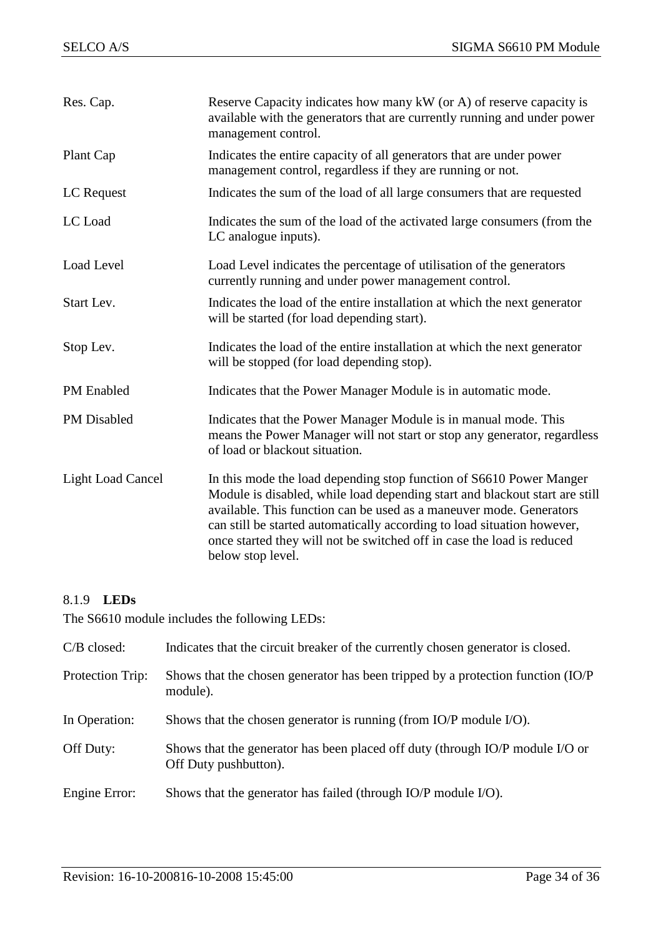| Res. Cap.                | Reserve Capacity indicates how many kW (or A) of reserve capacity is<br>available with the generators that are currently running and under power<br>management control.                                                                                                                                                                                                                             |
|--------------------------|-----------------------------------------------------------------------------------------------------------------------------------------------------------------------------------------------------------------------------------------------------------------------------------------------------------------------------------------------------------------------------------------------------|
| Plant Cap                | Indicates the entire capacity of all generators that are under power<br>management control, regardless if they are running or not.                                                                                                                                                                                                                                                                  |
| LC Request               | Indicates the sum of the load of all large consumers that are requested                                                                                                                                                                                                                                                                                                                             |
| LC Load                  | Indicates the sum of the load of the activated large consumers (from the<br>LC analogue inputs).                                                                                                                                                                                                                                                                                                    |
| Load Level               | Load Level indicates the percentage of utilisation of the generators<br>currently running and under power management control.                                                                                                                                                                                                                                                                       |
| Start Lev.               | Indicates the load of the entire installation at which the next generator<br>will be started (for load depending start).                                                                                                                                                                                                                                                                            |
| Stop Lev.                | Indicates the load of the entire installation at which the next generator<br>will be stopped (for load depending stop).                                                                                                                                                                                                                                                                             |
| <b>PM</b> Enabled        | Indicates that the Power Manager Module is in automatic mode.                                                                                                                                                                                                                                                                                                                                       |
| PM Disabled              | Indicates that the Power Manager Module is in manual mode. This<br>means the Power Manager will not start or stop any generator, regardless<br>of load or blackout situation.                                                                                                                                                                                                                       |
| <b>Light Load Cancel</b> | In this mode the load depending stop function of S6610 Power Manger<br>Module is disabled, while load depending start and blackout start are still<br>available. This function can be used as a maneuver mode. Generators<br>can still be started automatically according to load situation however,<br>once started they will not be switched off in case the load is reduced<br>below stop level. |

#### <span id="page-33-0"></span>8.1.9 **LEDs**

The S6610 module includes the following LEDs:

| $C/B$ closed:    | Indicates that the circuit breaker of the currently chosen generator is closed.                        |
|------------------|--------------------------------------------------------------------------------------------------------|
| Protection Trip: | Shows that the chosen generator has been tripped by a protection function (IO/P)<br>module).           |
| In Operation:    | Shows that the chosen generator is running (from IO/P module I/O).                                     |
| Off Duty:        | Shows that the generator has been placed off duty (through IO/P module I/O or<br>Off Duty pushbutton). |
| Engine Error:    | Shows that the generator has failed (through IO/P module I/O).                                         |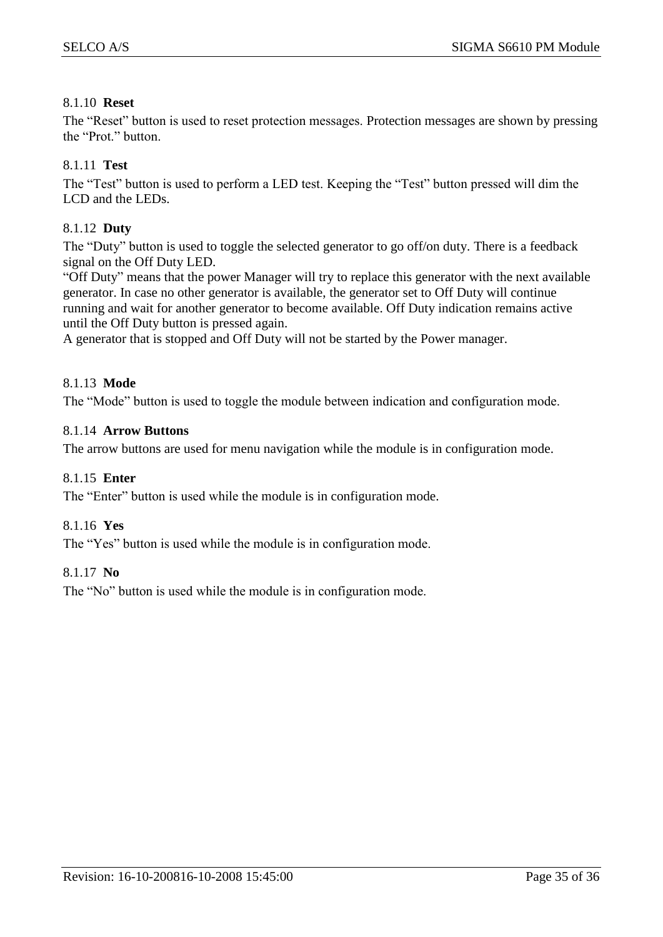#### <span id="page-34-0"></span>8.1.10 **Reset**

The "Reset" button is used to reset protection messages. Protection messages are shown by pressing the "Prot." button.

#### <span id="page-34-1"></span>8.1.11 **Test**

The "Test" button is used to perform a LED test. Keeping the "Test" button pressed will dim the LCD and the LEDs.

#### <span id="page-34-2"></span>8.1.12 **Duty**

The "Duty" button is used to toggle the selected generator to go off/on duty. There is a feedback signal on the Off Duty LED.

"Off Duty" means that the power Manager will try to replace this generator with the next available generator. In case no other generator is available, the generator set to Off Duty will continue running and wait for another generator to become available. Off Duty indication remains active until the Off Duty button is pressed again.

A generator that is stopped and Off Duty will not be started by the Power manager.

#### <span id="page-34-3"></span>8.1.13 **Mode**

The "Mode" button is used to toggle the module between indication and configuration mode.

#### <span id="page-34-4"></span>8.1.14 **Arrow Buttons**

The arrow buttons are used for menu navigation while the module is in configuration mode.

#### <span id="page-34-5"></span>8.1.15 **Enter**

The "Enter" button is used while the module is in configuration mode.

#### <span id="page-34-6"></span>8.1.16 **Yes**

The "Yes" button is used while the module is in configuration mode.

#### <span id="page-34-7"></span>8.1.17 **No**

The "No" button is used while the module is in configuration mode.